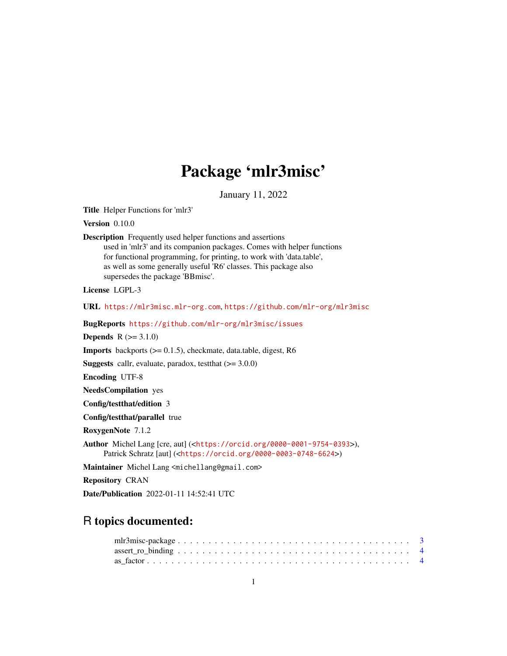# Package 'mlr3misc'

January 11, 2022

<span id="page-0-0"></span>Title Helper Functions for 'mlr3'

Version 0.10.0

Description Frequently used helper functions and assertions used in 'mlr3' and its companion packages. Comes with helper functions for functional programming, for printing, to work with 'data.table', as well as some generally useful 'R6' classes. This package also supersedes the package 'BBmisc'.

License LGPL-3

URL <https://mlr3misc.mlr-org.com>, <https://github.com/mlr-org/mlr3misc>

BugReports <https://github.com/mlr-org/mlr3misc/issues>

**Depends**  $R (= 3.1.0)$ 

**Imports** backports  $(>= 0.1.5)$ , checkmate, data.table, digest, R6

**Suggests** callr, evaluate, paradox, test that  $(>= 3.0.0)$ 

Encoding UTF-8

NeedsCompilation yes

Config/testthat/edition 3

Config/testthat/parallel true

RoxygenNote 7.1.2

Author Michel Lang [cre, aut] (<<https://orcid.org/0000-0001-9754-0393>>), Patrick Schratz [aut] (<<https://orcid.org/0000-0003-0748-6624>>)

Maintainer Michel Lang <michellang@gmail.com>

Repository CRAN

Date/Publication 2022-01-11 14:52:41 UTC

## R topics documented: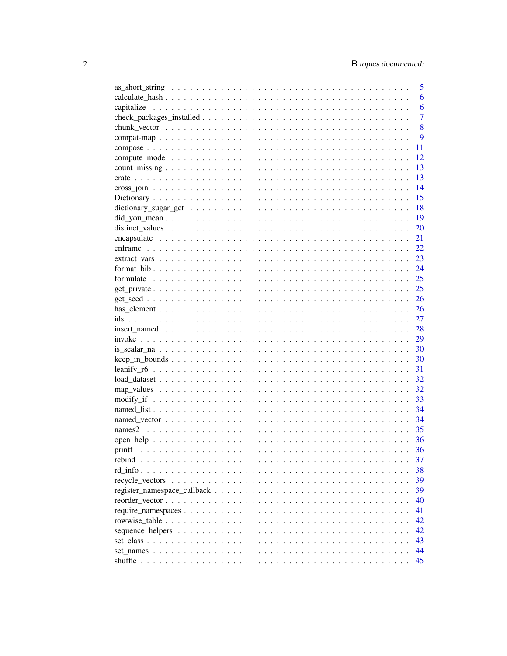|                                                                                                                 | 5              |
|-----------------------------------------------------------------------------------------------------------------|----------------|
|                                                                                                                 | 6              |
|                                                                                                                 | 6              |
|                                                                                                                 | $\overline{7}$ |
|                                                                                                                 | 8              |
|                                                                                                                 | 9              |
|                                                                                                                 | 11             |
|                                                                                                                 | 12             |
|                                                                                                                 | 13             |
|                                                                                                                 | 13             |
|                                                                                                                 | 14             |
|                                                                                                                 | 15             |
|                                                                                                                 | 18             |
|                                                                                                                 | 19             |
|                                                                                                                 | 20             |
|                                                                                                                 | 21             |
|                                                                                                                 | 22             |
|                                                                                                                 | 23             |
|                                                                                                                 | 24             |
|                                                                                                                 | 25             |
|                                                                                                                 | 25             |
|                                                                                                                 |                |
|                                                                                                                 | 26             |
|                                                                                                                 |                |
|                                                                                                                 | 27             |
| $insert\_named \dots \dots \dots \dots \dots \dots \dots \dots \dots \dots \dots \dots \dots \dots \dots \dots$ | 28             |
|                                                                                                                 | 29             |
|                                                                                                                 |                |
|                                                                                                                 | 30             |
|                                                                                                                 | 31             |
|                                                                                                                 | 32             |
|                                                                                                                 | 32             |
|                                                                                                                 | 33             |
|                                                                                                                 | 34             |
|                                                                                                                 | 34             |
|                                                                                                                 | 35             |
|                                                                                                                 | 36             |
|                                                                                                                 | 36             |
|                                                                                                                 | 37             |
|                                                                                                                 | 38             |
|                                                                                                                 | 39             |
|                                                                                                                 | 39             |
|                                                                                                                 | 40             |
|                                                                                                                 | 41             |
|                                                                                                                 | 42             |
|                                                                                                                 | 42             |
|                                                                                                                 | 43             |
|                                                                                                                 | 44             |
|                                                                                                                 | 45             |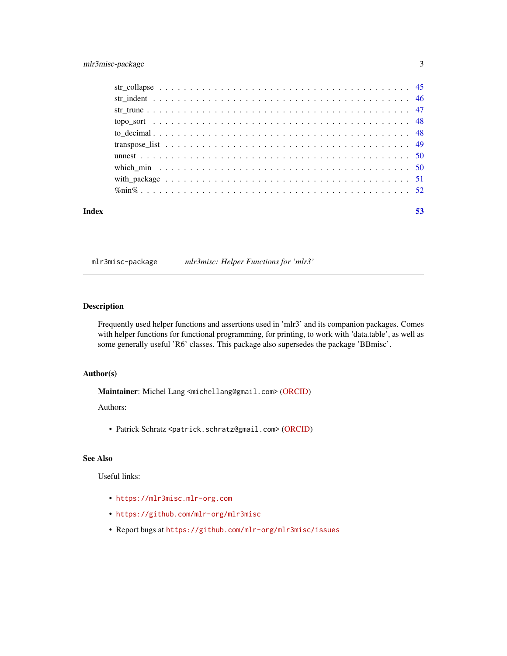#### <span id="page-2-0"></span>mlr3misc-package 3

| Index | 53 |
|-------|----|
|       |    |
|       |    |
|       |    |
|       |    |
|       |    |
|       |    |
|       |    |
|       |    |
|       |    |
|       |    |

mlr3misc-package *mlr3misc: Helper Functions for 'mlr3'*

#### Description

Frequently used helper functions and assertions used in 'mlr3' and its companion packages. Comes with helper functions for functional programming, for printing, to work with 'data.table', as well as some generally useful 'R6' classes. This package also supersedes the package 'BBmisc'.

#### Author(s)

Maintainer: Michel Lang <michellang@gmail.com> [\(ORCID\)](https://orcid.org/0000-0001-9754-0393)

#### Authors:

• Patrick Schratz <patrick.schratz@gmail.com> [\(ORCID\)](https://orcid.org/0000-0003-0748-6624)

#### See Also

#### Useful links:

- <https://mlr3misc.mlr-org.com>
- <https://github.com/mlr-org/mlr3misc>
- Report bugs at <https://github.com/mlr-org/mlr3misc/issues>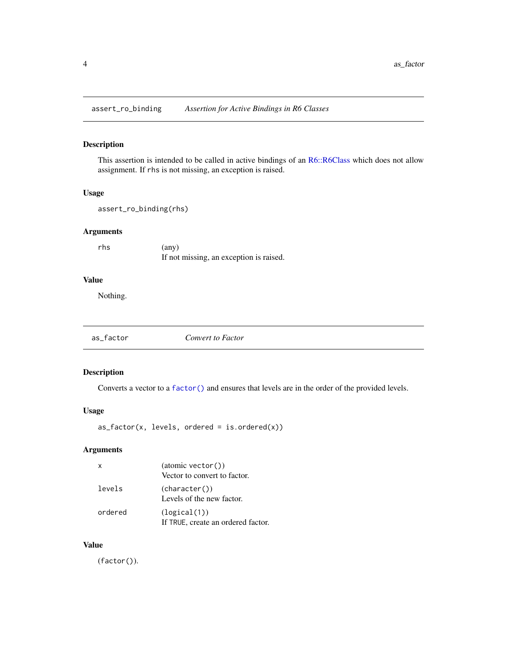<span id="page-3-0"></span>assert\_ro\_binding *Assertion for Active Bindings in R6 Classes*

#### Description

This assertion is intended to be called in active bindings of an [R6::R6Class](#page-0-0) which does not allow assignment. If rhs is not missing, an exception is raised.

#### Usage

```
assert_ro_binding(rhs)
```
#### Arguments

rhs (any) If not missing, an exception is raised.

#### Value

Nothing.

| as_factor<br>Convert to Factor |  |
|--------------------------------|--|
|--------------------------------|--|

#### Description

Converts a vector to a [factor\(\)](#page-0-0) and ensures that levels are in the order of the provided levels.

#### Usage

 $as_factor(x, levels, ordered = is.ordered(x))$ 

#### Arguments

| $\times$ | (atomic vector()<br>Vector to convert to factor.   |
|----------|----------------------------------------------------|
| levels   | (character())<br>Levels of the new factor.         |
| ordered  | (logical(1))<br>If TRUE, create an ordered factor. |

#### Value

(factor()).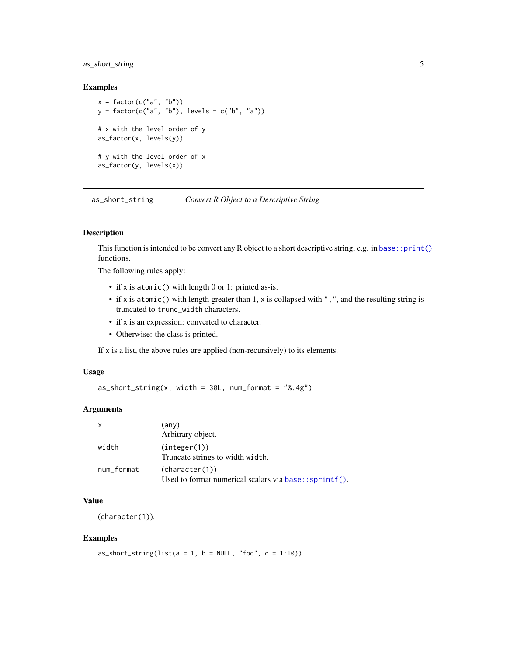#### <span id="page-4-0"></span>as\_short\_string 5

#### Examples

```
x = factor(c("a", "b")y = factor(c("a", "b"), levels = c("b", "a"))
# x with the level order of y
as_factor(x, levels(y))
# y with the level order of x
as_factor(y, levels(x))
```
as\_short\_string *Convert R Object to a Descriptive String*

#### Description

This function is intended to be convert any R object to a short descriptive string, e.g. in [base::print\(\)](#page-0-0) functions.

The following rules apply:

- if x is atomic() with length 0 or 1: printed as-is.
- if x is atomic() with length greater than 1, x is collapsed with ",", and the resulting string is truncated to trunc\_width characters.
- if x is an expression: converted to character.
- Otherwise: the class is printed.

If x is a list, the above rules are applied (non-recursively) to its elements.

#### Usage

 $as\_short\_string(x, width = 30L, num\_format = "%, 4g")$ 

#### Arguments

| X          | (any)                                                                    |
|------------|--------------------------------------------------------------------------|
|            | Arbitrary object.                                                        |
| width      | (integer(1))<br>Truncate strings to width width.                         |
| num_format | (character(1))<br>Used to format numerical scalars via base:: sprintf(). |

#### Value

(character(1)).

```
as_short_string(list(a = 1, b = NULL, "foo", c = 1:10))
```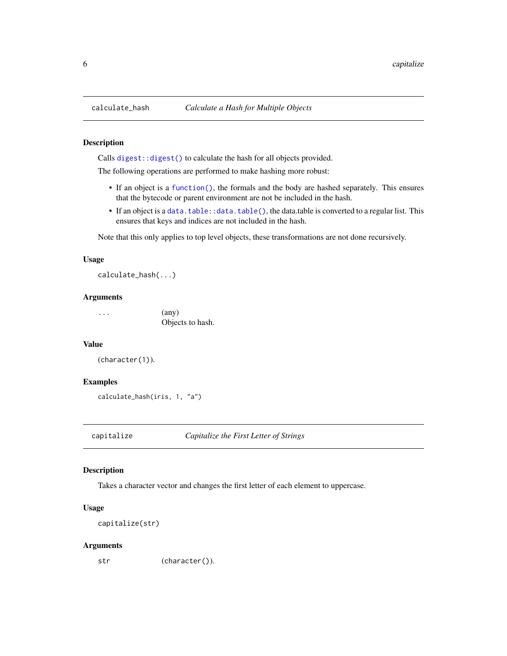Calls [digest::digest\(\)](#page-0-0) to calculate the hash for all objects provided.

The following operations are performed to make hashing more robust:

- If an object is a [function\(\)](#page-0-0), the formals and the body are hashed separately. This ensures that the bytecode or parent environment are not be included in the hash.
- If an object is a [data.table::data.table\(\)](#page-0-0), the data.table is converted to a regular list. This ensures that keys and indices are not included in the hash.

Note that this only applies to top level objects, these transformations are not done recursively.

#### Usage

calculate\_hash(...)

#### Arguments

 $\ldots$  (any) Objects to hash.

#### Value

```
(character(1)).
```
#### Examples

```
calculate_hash(iris, 1, "a")
```
capitalize *Capitalize the First Letter of Strings*

#### Description

Takes a character vector and changes the first letter of each element to uppercase.

#### Usage

```
capitalize(str)
```
#### Arguments

str (character()).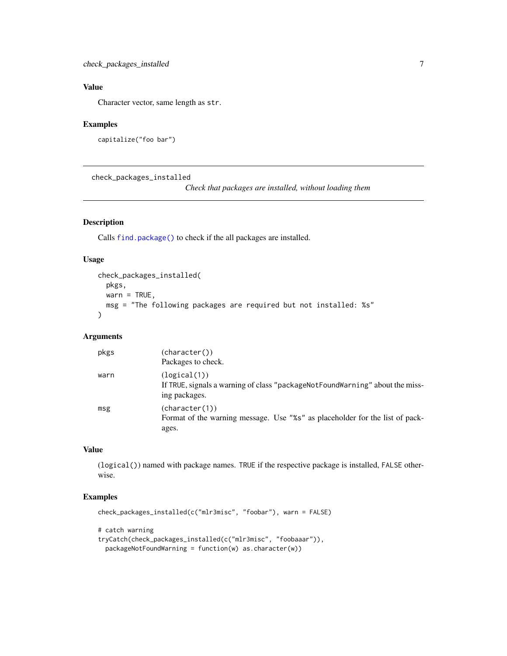#### <span id="page-6-0"></span>Value

Character vector, same length as str.

#### Examples

```
capitalize("foo bar")
```
check\_packages\_installed

*Check that packages are installed, without loading them*

#### Description

Calls [find.package\(\)](#page-0-0) to check if the all packages are installed.

#### Usage

```
check_packages_installed(
 pkgs,
 warn = TRUE,msg = "The following packages are required but not installed: %s"
\lambda
```
#### Arguments

| pkgs | (character())<br>Packages to check.                                                                              |
|------|------------------------------------------------------------------------------------------------------------------|
| warn | (logical(1))<br>If TRUE, signals a warning of class "package Not Found Warning" about the miss-<br>ing packages. |
| msg  | (character(1))<br>Format of the warning message. Use "%s" as placeholder for the list of pack-<br>ages.          |

#### Value

(logical()) named with package names. TRUE if the respective package is installed, FALSE otherwise.

#### Examples

```
check_packages_installed(c("mlr3misc", "foobar"), warn = FALSE)
```
# catch warning

```
tryCatch(check_packages_installed(c("mlr3misc", "foobaaar")),
 packageNotFoundWarning = function(w) as.character(w))
```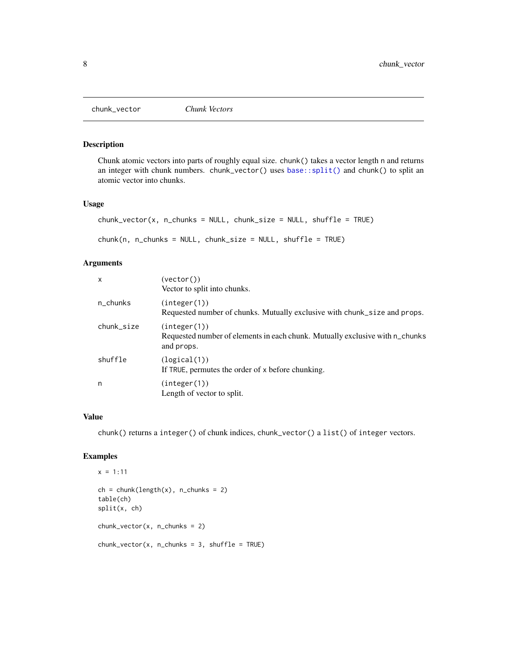<span id="page-7-0"></span>

Chunk atomic vectors into parts of roughly equal size. chunk() takes a vector length n and returns an integer with chunk numbers. chunk\_vector() uses [base::split\(\)](#page-0-0) and chunk() to split an atomic vector into chunks.

#### Usage

```
chunk\_vector(x, n_{\text{chunks}} = NULL, chunk\_size = NULL, shuffle = TRUE)chunk(n, n_chunks = NULL, chunk_size = NULL, shuffle = TRUE)
```
#### Arguments

| $\mathsf{x}$ | (vector()<br>Vector to split into chunks.                                                                  |
|--------------|------------------------------------------------------------------------------------------------------------|
| n_chunks     | (integer(1))<br>Requested number of chunks. Mutually exclusive with chunk_size and props.                  |
| chunk_size   | (integer(1))<br>Requested number of elements in each chunk. Mutually exclusive with n_chunks<br>and props. |
| shuffle      | (logical(1))<br>If TRUE, permutes the order of x before chunking.                                          |
| n            | (integer(1))<br>Length of vector to split.                                                                 |

#### Value

chunk() returns a integer() of chunk indices, chunk\_vector() a list() of integer vectors.

```
x = 1:11ch = chunk(length(x), n_chunks = 2)table(ch)
split(x, ch)
chunk\_vector(x, n_{\text{1}})chunk\_vector(x, n_{\text{1}}_x, n_{\text{2}}_y) = 3, shuffle = TRUE)
```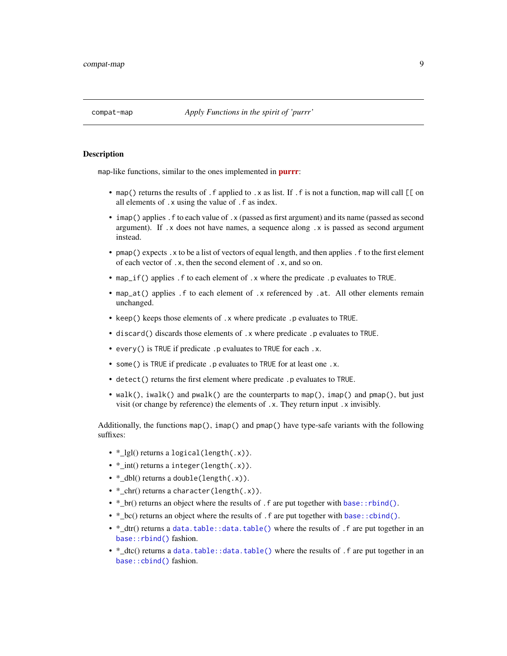<span id="page-8-0"></span>

map-like functions, similar to the ones implemented in **[purrr](https://CRAN.R-project.org/package=purrr)**:

- map() returns the results of . f applied to .x as list. If . f is not a function, map will call  $\lbrack \lbrack$  on all elements of .x using the value of .f as index.
- imap() applies . f to each value of . x (passed as first argument) and its name (passed as second argument). If  $\cdot$  x does not have names, a sequence along  $\cdot$  x is passed as second argument instead.
- pmap() expects . x to be a list of vectors of equal length, and then applies . f to the first element of each vector of .x, then the second element of .x, and so on.
- map\_if() applies . f to each element of . x where the predicate . p evaluates to TRUE.
- map\_at() applies . f to each element of . x referenced by . at. All other elements remain unchanged.
- keep() keeps those elements of .x where predicate .p evaluates to TRUE.
- discard() discards those elements of .x where predicate .p evaluates to TRUE.
- every() is TRUE if predicate .p evaluates to TRUE for each .x.
- some() is TRUE if predicate .p evaluates to TRUE for at least one .x.
- detect() returns the first element where predicate .p evaluates to TRUE.
- walk(), iwalk() and pwalk() are the counterparts to map(), imap() and pmap(), but just visit (or change by reference) the elements of .x. They return input .x invisibly.

Additionally, the functions map(), imap() and pmap() have type-safe variants with the following suffixes:

- \* lgl() returns a logical(length(.x)).
- \*\_int() returns a integer(length(.x)).
- \*\_dbl() returns a double(length(.x)).
- \*\_chr() returns a character(length(.x)).
- \* br() returns an object where the results of . f are put together with [base::rbind\(\)](#page-0-0).
- \*  $bc()$  returns an object where the results of . f are put together with base:  $cbind()$ .
- \*\_dtr() returns a [data.table::data.table\(\)](#page-0-0) where the results of .f are put together in an [base::rbind\(\)](#page-0-0) fashion.
- \*\_dtc() returns a [data.table::data.table\(\)](#page-0-0) where the results of .f are put together in an [base::cbind\(\)](#page-0-0) fashion.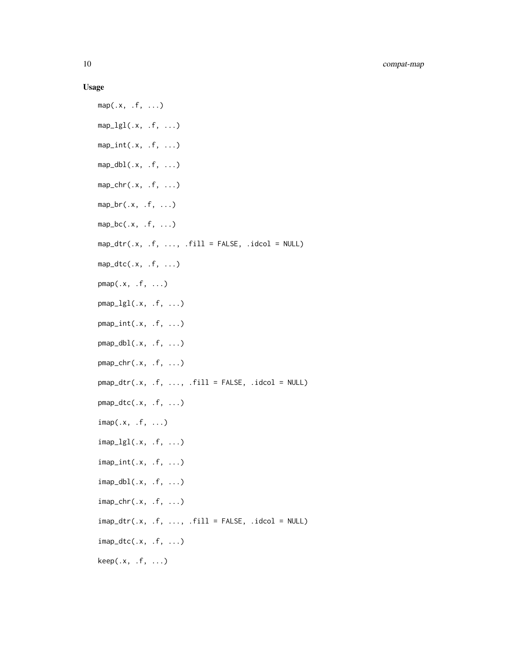#### Usage

```
map(.x, .f, . . .)map\_lgl(x, .f, . . .)map\_int(.x, .f, . . .)map\_dbl(x, .f, ....)map_{chr}(.x, .f, . . .)map\_br(.x, .f, . . .)map\_bc(.x, .f, . . .)map\_dtr(.x, .f, . . . , .fill = FALSE, .idcol = NULL)map\_dtc(.x, .f, . . .)pmap(.x, .f, . . .)pmap_{l}g1(.x, .f, . . .)pmap_int(.x, .f, ...)
pmap_dbl(.x, .f, . . .)pmap_{chr}(.x, .f, . . .)pmap_dtr(.x, .f, . . . , .fill = FALSE, .idcol = NULL)pmap_dtc(.x, .f, ...)
imap(.x, .f, ...)
\text{imap\_lgl}(.x, .f, . . .)imap_int(.x, .f, ...)
imap_dbl(.x, .f, ...)
\text{imap\_chr}(.x, .f, . . .)imp\_dtr(.x, .f, . . . , .fill = FALSE, .idcol = NULL)imap_dtc(.x, .f, ...)
keep(.x, .f, . . .)
```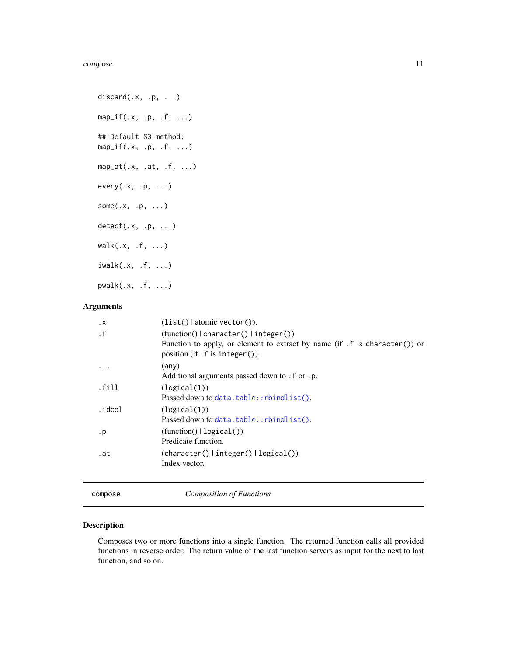```
discard(x, p, \ldots)map_i f(.x, .p, .f, . . .)## Default S3 method:
map_i f(.x, .p, .f, . . .)map_at(.x, .at, .f, ...)every(.x, .p, ...)
some(.x, .p, ...)
detect(.x, .p, ...)
walk(.x, .f, . . .)iwalk(.x, .f, . . .)pwalk(.x, .f, ...)
```
#### Arguments

| $\cdot$ X         | $(list()   atomic vector()$ .                                                                                                                             |
|-------------------|-----------------------------------------------------------------------------------------------------------------------------------------------------------|
| $\cdot$ f         | $(function()   character()   integer())$<br>Function to apply, or element to extract by name $(if f is character())$ or<br>position $(if.f is integer$ ). |
| .                 | (any)<br>Additional arguments passed down to . f or . p.                                                                                                  |
| . <sub>fill</sub> | (logical(1))<br>Passed down to data.table::rbindlist().                                                                                                   |
| .idcol            | (logical(1))<br>Passed down to data.table::rbindlist().                                                                                                   |
| $\cdot$ p         | (function()   logical())<br>Predicate function.                                                                                                           |
| .at               | $(character() \mid integer() \mid logical())$<br>Index vector.                                                                                            |

compose *Composition of Functions*

#### Description

Composes two or more functions into a single function. The returned function calls all provided functions in reverse order: The return value of the last function servers as input for the next to last function, and so on.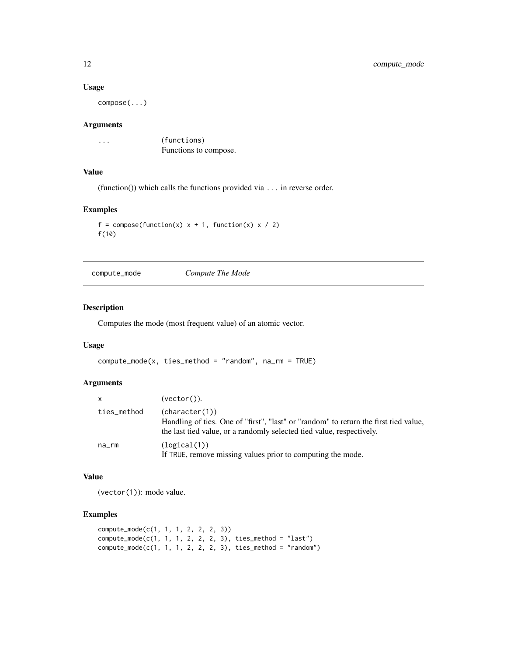#### Usage

compose(...)

#### Arguments

... (functions) Functions to compose.

#### Value

(function()) which calls the functions provided via ... in reverse order.

#### Examples

```
f = \text{composite}(\text{function}(x) \ x + 1, \text{ function}(x) \ x / 2)f(10)
```
compute\_mode *Compute The Mode*

#### Description

Computes the mode (most frequent value) of an atomic vector.

#### Usage

```
compute\_mode(x, ties\_method = "random", na\_rm = TRUE)
```
#### Arguments

| $\mathsf{x}$ | $(vector()$ ).                                                                                                                                                                  |
|--------------|---------------------------------------------------------------------------------------------------------------------------------------------------------------------------------|
| ties_method  | (character(1))<br>Handling of ties. One of "first", "last" or "random" to return the first tied value,<br>the last tied value, or a randomly selected tied value, respectively. |
| na_rm        | (logical(1))<br>If TRUE, remove missing values prior to computing the mode.                                                                                                     |

#### Value

(vector(1)): mode value.

```
compute_mode(c(1, 1, 1, 2, 2, 2, 3))
compute_mode(c(1, 1, 1, 2, 2, 2, 3), ties_method = "last")
compute\_mode(c(1, 1, 1, 2, 2, 2, 3), ties\_method = "random")
```
<span id="page-11-0"></span>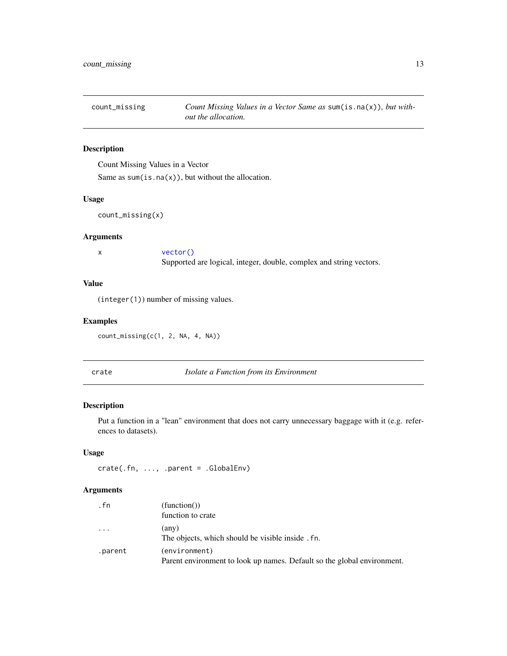<span id="page-12-0"></span>

Count Missing Values in a Vector

Same as  $sum(is.na(x))$ , but without the allocation.

#### Usage

```
count_missing(x)
```
#### Arguments

| vector()                                                            |
|---------------------------------------------------------------------|
| Supported are logical, integer, double, complex and string vectors. |

#### Value

(integer(1)) number of missing values.

#### Examples

count\_missing(c(1, 2, NA, 4, NA))

crate *Isolate a Function from its Environment*

#### Description

Put a function in a "lean" environment that does not carry unnecessary baggage with it (e.g. references to datasets).

#### Usage

crate(.fn, ..., .parent = .GlobalEnv)

| . fn    | (function()                                                                              |
|---------|------------------------------------------------------------------------------------------|
|         | function to crate                                                                        |
| .       | $(\text{any})$<br>The objects, which should be visible inside . fn.                      |
| .parent | (environment)<br>Parent environment to look up names. Default so the global environment. |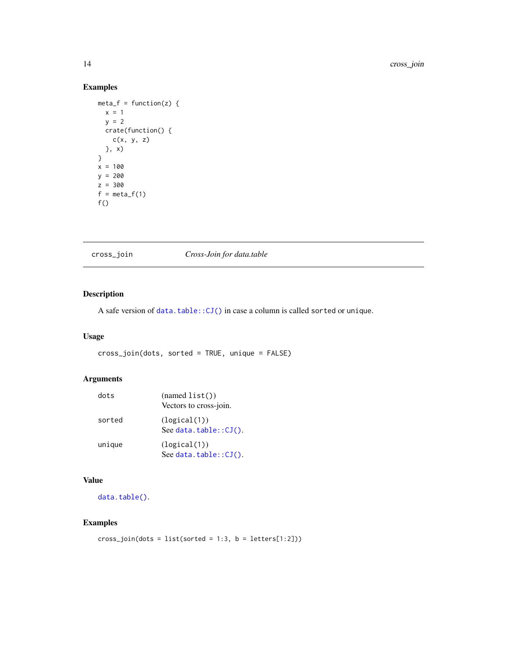#### <span id="page-13-0"></span>Examples

```
meta_f = function(z) {
 x = 1y = 2crate(function() {
   c(x, y, z)
 }, x)
}
x = 100y = 200
z = 300
f = meta_f(1)f()
```
#### cross\_join *Cross-Join for data.table*

#### Description

A safe version of [data.table::CJ\(\)](#page-0-0) in case a column is called sorted or unique.

#### Usage

cross\_join(dots, sorted = TRUE, unique = FALSE)

#### Arguments

| dots   | (namedlist())<br>Vectors to cross-join.   |
|--------|-------------------------------------------|
| sorted | (logical(1))<br>See data.table $::CJ()$ . |
| unique | (logical(1))<br>See data.table:: $CI()$ . |

#### Value

[data.table\(\)](#page-0-0).

```
cross\_join(dots = list(sorted = 1:3, b = letters[1:2]))
```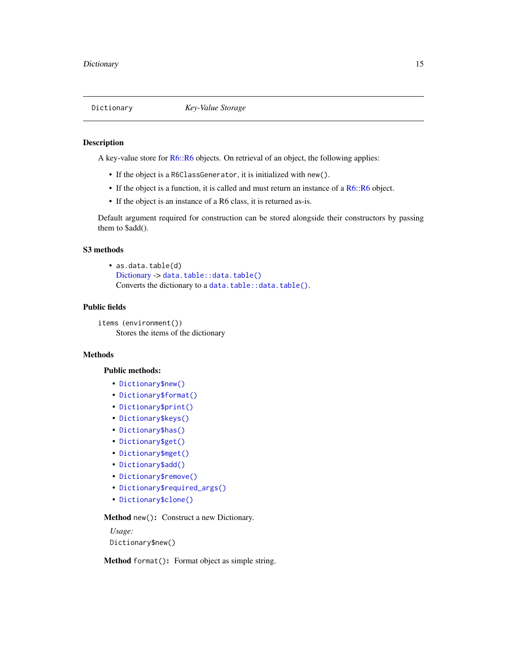<span id="page-14-1"></span><span id="page-14-0"></span>

A key-value store for [R6::R6](#page-0-0) objects. On retrieval of an object, the following applies:

- If the object is a R6ClassGenerator, it is initialized with new().
- If the object is a function, it is called and must return an instance of a [R6::R6](#page-0-0) object.
- If the object is an instance of a R6 class, it is returned as-is.

Default argument required for construction can be stored alongside their constructors by passing them to \$add().

#### S3 methods

• as.data.table(d) [Dictionary](#page-14-1) -> [data.table::data.table\(\)](#page-0-0) Converts the dictionary to a [data.table::data.table\(\)](#page-0-0).

#### Public fields

items (environment()) Stores the items of the dictionary

#### Methods

#### Public methods:

- [Dictionary\\$new\(\)](#page-14-2)
- [Dictionary\\$format\(\)](#page-14-3)
- [Dictionary\\$print\(\)](#page-15-0)
- [Dictionary\\$keys\(\)](#page-15-1)
- [Dictionary\\$has\(\)](#page-15-2)
- [Dictionary\\$get\(\)](#page-15-3)
- [Dictionary\\$mget\(\)](#page-15-4)
- [Dictionary\\$add\(\)](#page-15-5)
- [Dictionary\\$remove\(\)](#page-16-0)
- [Dictionary\\$required\\_args\(\)](#page-16-1)
- [Dictionary\\$clone\(\)](#page-16-2)

#### <span id="page-14-2"></span>Method new(): Construct a new Dictionary.

*Usage:* Dictionary\$new()

<span id="page-14-3"></span>Method format(): Format object as simple string.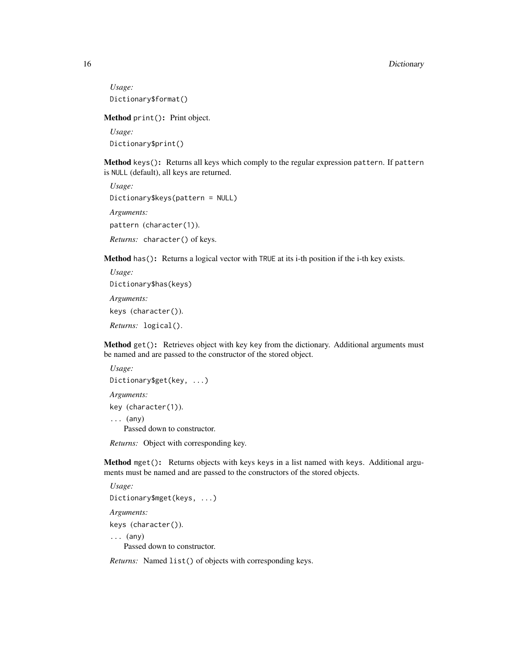*Usage:* Dictionary\$format()

<span id="page-15-0"></span>Method print(): Print object.

*Usage:* Dictionary\$print()

<span id="page-15-1"></span>Method keys(): Returns all keys which comply to the regular expression pattern. If pattern is NULL (default), all keys are returned.

*Usage:* Dictionary\$keys(pattern = NULL) *Arguments:* pattern (character(1)). *Returns:* character() of keys.

<span id="page-15-2"></span>Method has(): Returns a logical vector with TRUE at its i-th position if the i-th key exists.

```
Usage:
Dictionary$has(keys)
Arguments:
keys (character()).
Returns: logical().
```
<span id="page-15-3"></span>Method get(): Retrieves object with key key from the dictionary. Additional arguments must be named and are passed to the constructor of the stored object.

```
Usage:
Dictionary$get(key, ...)
Arguments:
key (character(1)).
... (any)
   Passed down to constructor.
```
*Returns:* Object with corresponding key.

<span id="page-15-4"></span>Method mget(): Returns objects with keys keys in a list named with keys. Additional arguments must be named and are passed to the constructors of the stored objects.

```
Usage:
Dictionary$mget(keys, ...)
Arguments:
keys (character()).
\ldots (any)
   Passed down to constructor.
```
<span id="page-15-5"></span>*Returns:* Named list() of objects with corresponding keys.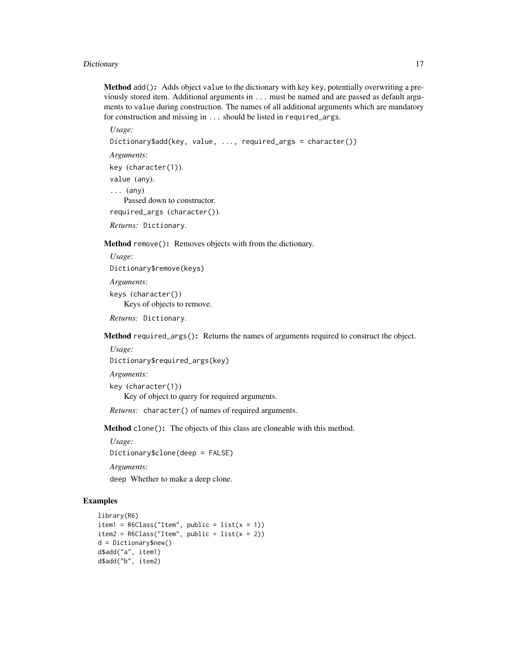#### Dictionary 2012 17 and 2012 17 and 2012 17 and 2012 17 and 2012 17 and 2012 17 and 2012 17 and 2012 17 and 201

Method add(): Adds object value to the dictionary with key key, potentially overwriting a previously stored item. Additional arguments in ... must be named and are passed as default arguments to value during construction. The names of all additional arguments which are mandatory for construction and missing in ... should be listed in required\_args.

*Usage:* Dictionary\$add(key, value, ..., required\_args = character()) *Arguments:* key (character(1)). value (any).  $\ldots$  (any) Passed down to constructor. required\_args (character()). *Returns:* Dictionary.

<span id="page-16-0"></span>Method remove(): Removes objects with from the dictionary.

```
Usage:
Dictionary$remove(keys)
Arguments:
keys (character())
   Keys of objects to remove.
```
*Returns:* Dictionary.

<span id="page-16-1"></span>Method required\_args(): Returns the names of arguments required to construct the object.

```
Usage:
```
Dictionary\$required\_args(key)

*Arguments:*

key (character(1)) Key of object to query for required arguments.

*Returns:* character() of names of required arguments.

<span id="page-16-2"></span>Method clone(): The objects of this class are cloneable with this method.

```
Usage:
Dictionary$clone(deep = FALSE)
```
*Arguments:*

deep Whether to make a deep clone.

```
library(R6)
item1 = R6Class("Item", public = list(x = 1))item2 = R6Class("Item", public = list(x = 2))d = Dictionary$new()
d$add("a", item1)
d$add("b", item2)
```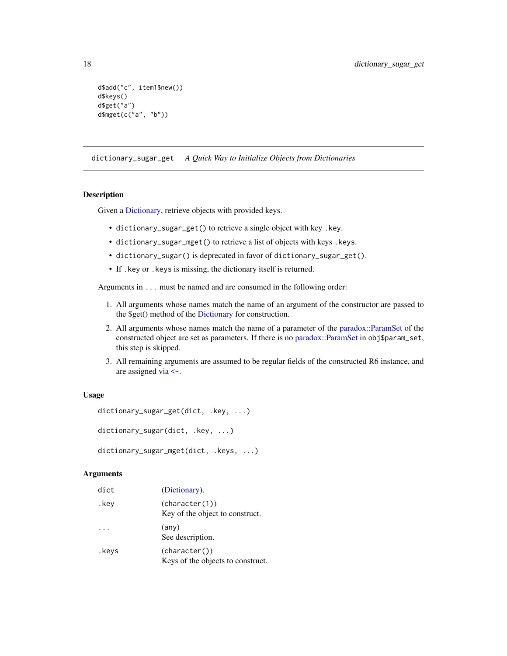```
d$add("c", item1$new())
d$keys()
d$get("a")
d$mget(c("a", "b"))
```
dictionary\_sugar\_get *A Quick Way to Initialize Objects from Dictionaries*

#### Description

Given a [Dictionary,](#page-14-1) retrieve objects with provided keys.

- dictionary\_sugar\_get() to retrieve a single object with key .key.
- dictionary\_sugar\_mget() to retrieve a list of objects with keys .keys.
- dictionary\_sugar() is deprecated in favor of dictionary\_sugar\_get().
- If .key or .keys is missing, the dictionary itself is returned.

Arguments in ... must be named and are consumed in the following order:

- 1. All arguments whose names match the name of an argument of the constructor are passed to the \$get() method of the [Dictionary](#page-14-1) for construction.
- 2. All arguments whose names match the name of a parameter of the [paradox::ParamSet](#page-0-0) of the constructed object are set as parameters. If there is no [paradox::ParamSet](#page-0-0) in obj\$param\_set, this step is skipped.
- 3. All remaining arguments are assumed to be regular fields of the constructed R6 instance, and are assigned via [<-](#page-0-0).

#### Usage

```
dictionary_sugar_get(dict, .key, ...)
dictionary_sugar(dict, .key, ...)
dictionary_sugar_mget(dict, .keys, ...)
```

| dict  | (Dictionary).                                      |
|-------|----------------------------------------------------|
| .key  | (character(1))<br>Key of the object to construct.  |
|       | (any)<br>See description.                          |
| .keys | (character())<br>Keys of the objects to construct. |

<span id="page-17-0"></span>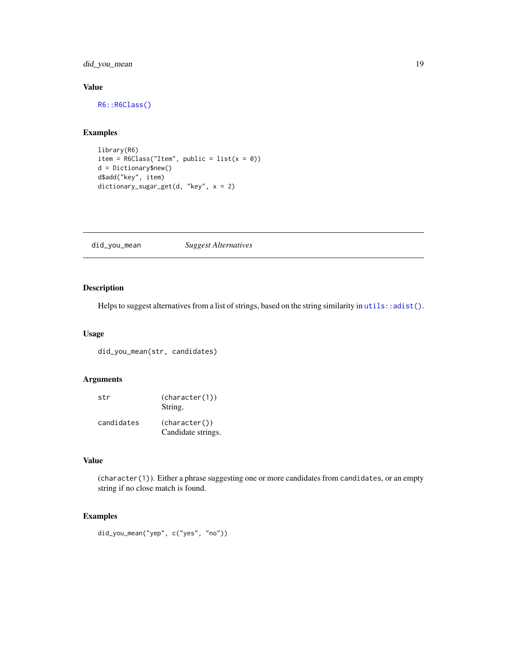<span id="page-18-0"></span>did\_you\_mean 19

#### Value

[R6::R6Class\(\)](#page-0-0)

#### Examples

```
library(R6)
item = R6Class("Item", public = list(x = 0))d = Dictionary$new()
d$add("key", item)
dictionary_sugar_get(d, "key", x = 2)
```
did\_you\_mean *Suggest Alternatives*

#### Description

Helps to suggest alternatives from a list of strings, based on the string similarity in  $u$ tils:: $adist()$ .

#### Usage

```
did_you_mean(str, candidates)
```
#### Arguments

| str        | (character(1))<br>String.           |
|------------|-------------------------------------|
| candidates | (character())<br>Candidate strings. |

### Value

(character(1)). Either a phrase suggesting one or more candidates from candidates, or an empty string if no close match is found.

```
did_you_mean("yep", c("yes", "no"))
```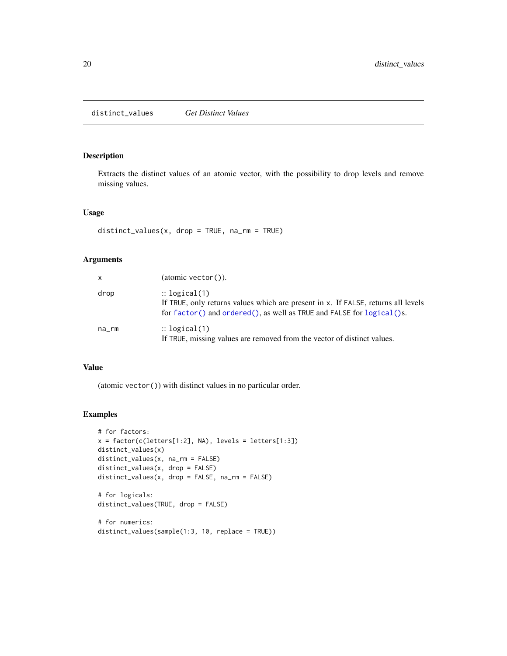<span id="page-19-0"></span>distinct\_values *Get Distinct Values*

#### Description

Extracts the distinct values of an atomic vector, with the possibility to drop levels and remove missing values.

#### Usage

```
distinct_values(x, drop = TRUE, na_rm = TRUE)
```
#### Arguments

| $\mathsf{x}$ | (atomic vector()).                                                                                                                                                                       |
|--------------|------------------------------------------------------------------------------------------------------------------------------------------------------------------------------------------|
| drop         | $\therefore$ logical(1)<br>If TRUE, only returns values which are present in x. If FALSE, returns all levels<br>for factor() and ordered(), as well as TRUE and FALSE for $logical$ ()s. |
| na_rm        | $\therefore$ logical(1)<br>If TRUE, missing values are removed from the vector of distinct values.                                                                                       |

#### Value

(atomic vector()) with distinct values in no particular order.

```
# for factors:
x = factor(c(leftters[1:2], NA), levels = letters[1:3])distinct_values(x)
distinct_values(x, na_rm = FALSE)
distinct_values(x, drop = FALSE)
distinct_values(x, drop = FALSE, na_rm = FALSE)
# for logicals:
distinct_values(TRUE, drop = FALSE)
# for numerics:
distinct_values(sample(1:3, 10, replace = TRUE))
```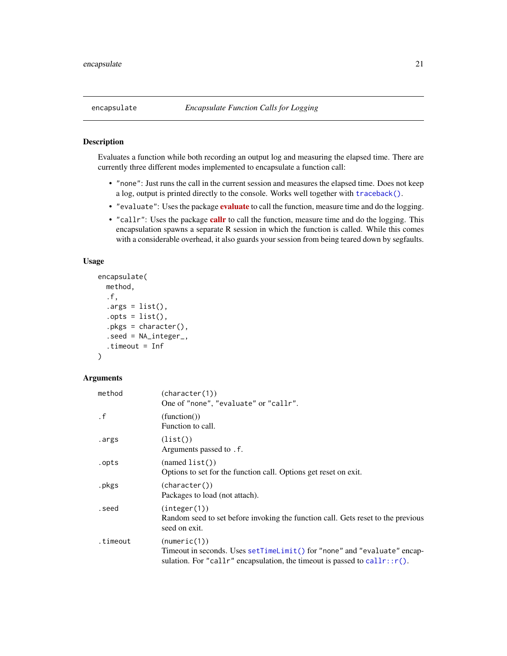<span id="page-20-0"></span>Evaluates a function while both recording an output log and measuring the elapsed time. There are currently three different modes implemented to encapsulate a function call:

- "none": Just runs the call in the current session and measures the elapsed time. Does not keep a log, output is printed directly to the console. Works well together with [traceback\(\)](#page-0-0).
- "[evaluate](https://CRAN.R-project.org/package=evaluate)": Uses the package evaluate to call the function, measure time and do the logging.
- "[callr](https://CRAN.R-project.org/package=callr)": Uses the package callr to call the function, measure time and do the logging. This encapsulation spawns a separate R session in which the function is called. While this comes with a considerable overhead, it also guards your session from being teared down by segfaults.

#### Usage

```
encapsulate(
 method,
  .f,
  .\narray = list(),.opts = list(),
  .pkgs = character(),
  .seed = NA_integer_,
  .timeout = Inf
)
```

| method    | (character(1))<br>One of "none", "evaluate" or "callr".                                                                                                                   |
|-----------|---------------------------------------------------------------------------------------------------------------------------------------------------------------------------|
| $\cdot$ f | (function())<br>Function to call.                                                                                                                                         |
| .args     | (list()<br>Arguments passed to . f.                                                                                                                                       |
| .opts     | (namedist())<br>Options to set for the function call. Options get reset on exit.                                                                                          |
| .pkgs     | (character())<br>Packages to load (not attach).                                                                                                                           |
| .seed     | (integer(1))<br>Random seed to set before invoking the function call. Gets reset to the previous<br>seed on exit.                                                         |
| .timeout  | (numeric(1))<br>Timeout in seconds. Uses setTimeLimit() for "none" and "evaluate" encap-<br>sulation. For "callr" encapsulation, the timeout is passed to callr:: $r()$ . |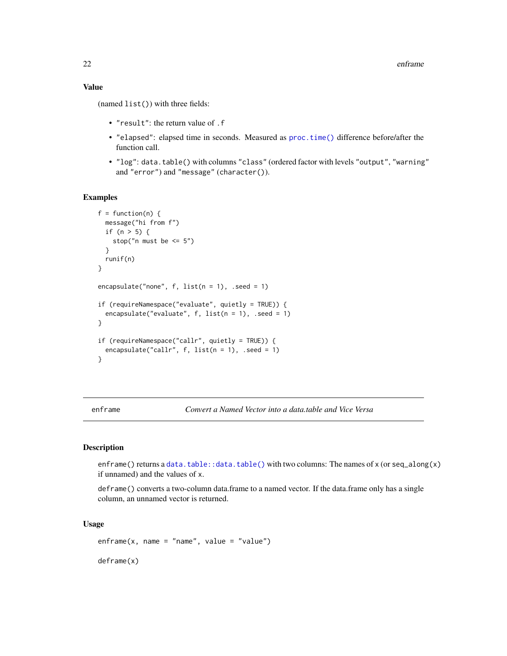<span id="page-21-0"></span>(named list()) with three fields:

- "result": the return value of .f
- "elapsed": elapsed time in seconds. Measured as [proc.time\(\)](#page-0-0) difference before/after the function call.
- "log": data.table() with columns "class" (ordered factor with levels "output", "warning" and "error") and "message" (character()).

#### Examples

```
f = function(n) {
 message("hi from f")
 if (n > 5) {
   stop("n must be <= 5")
 }
 runif(n)
}
encapsulate("none", f, list(n = 1), .seed = 1)
if (requireNamespace("evaluate", quietly = TRUE)) {
 encapsulate("evaluate", f, list(n = 1), .seed = 1)
}
if (requireNamespace("callr", quietly = TRUE)) {
 encapsulate("callr", f, list(n = 1), .seed = 1)
}
```
enframe *Convert a Named Vector into a data.table and Vice Versa*

#### Description

enframe() returns a [data.table::data.table\(\)](#page-0-0) with two columns: The names of x (or seq\_along(x) if unnamed) and the values of x.

deframe() converts a two-column data.frame to a named vector. If the data.frame only has a single column, an unnamed vector is returned.

#### Usage

 $enframe(x, name = "name", value = "value")$ 

deframe(x)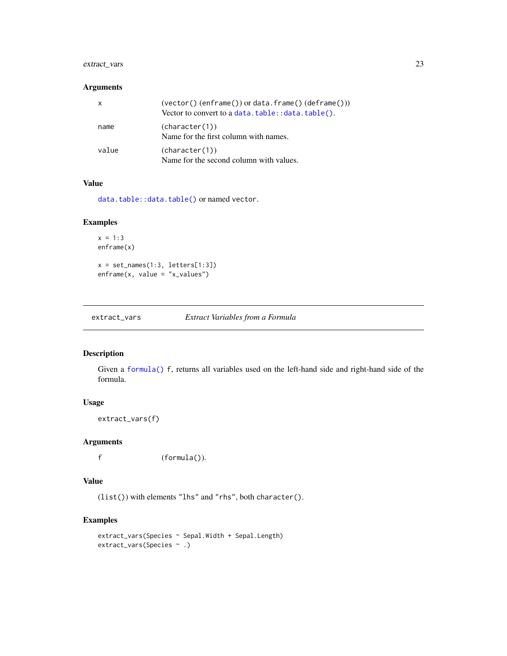#### <span id="page-22-0"></span>extract\_vars 23

#### Arguments

| x     | $(vector() (enframe())$ or data.frame $()$ $(defname())$<br>Vector to convert to a data.table:: data.table(). |
|-------|---------------------------------------------------------------------------------------------------------------|
| name  | (character(1))<br>Name for the first column with names.                                                       |
| value | (character(1))<br>Name for the second column with values.                                                     |

#### Value

[data.table::data.table\(\)](#page-0-0) or named vector.

#### Examples

```
x = 1:3enframe(x)
x = set\_names(1:3, letters[1:3])enframe(x, value = "x_values")
```
extract\_vars *Extract Variables from a Formula*

#### Description

Given a [formula\(\)](#page-0-0) f, returns all variables used on the left-hand side and right-hand side of the formula.

#### Usage

extract\_vars(f)

#### Arguments

f (formula()).

#### Value

(list()) with elements "lhs" and "rhs", both character().

```
extract_vars(Species ~ Sepal.Width + Sepal.Length)
extract_vars(Species ~ .)
```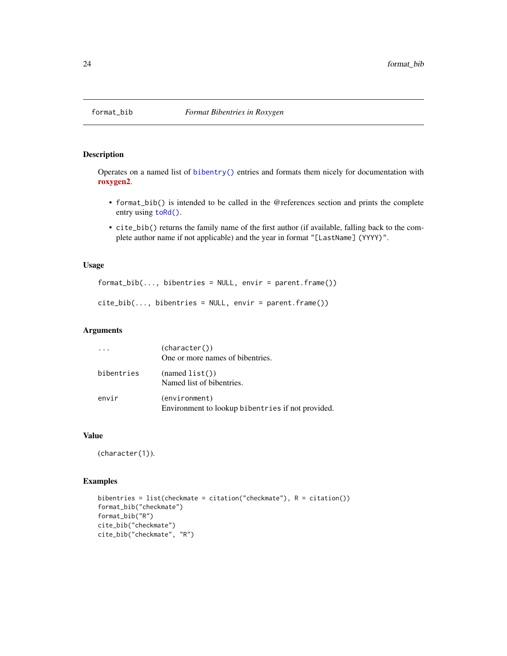<span id="page-23-0"></span>

Operates on a named list of [bibentry\(\)](#page-0-0) entries and formats them nicely for documentation with [roxygen2](https://CRAN.R-project.org/package=roxygen2).

- format\_bib() is intended to be called in the @references section and prints the complete entry using [toRd\(\)](#page-0-0).
- cite\_bib() returns the family name of the first author (if available, falling back to the complete author name if not applicable) and the year in format "[LastName] (YYYY)".

#### Usage

```
format_bib(..., bibentries = NULL, envir = parent.frame())
```
 $cite_bib(..., bibentries = NULL, envir = parent-frame())$ 

#### Arguments

|            | (character())<br>One or more names of bibentries.                  |
|------------|--------------------------------------------------------------------|
| bibentries | (namedist())<br>Named list of bibentries.                          |
| envir      | (environment)<br>Environment to lookup bibentries if not provided. |

#### Value

(character(1)).

```
bibentries = list(checkmate = citation("checkmate"), R = citation())
format_bib("checkmate")
format_bib("R")
cite_bib("checkmate")
cite_bib("checkmate", "R")
```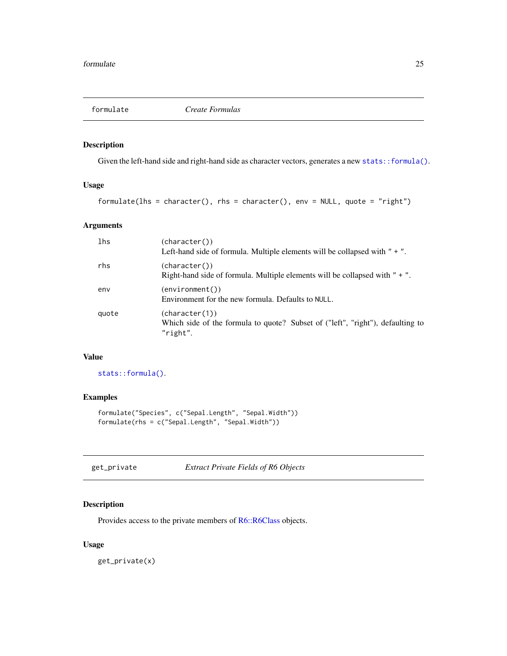<span id="page-24-0"></span>

Given the left-hand side and right-hand side as character vectors, generates a new [stats::formula\(\)](#page-0-0).

#### Usage

```
formulate(lhs = character(), rhs = character(), env = NULL, quote = "right")
```
#### Arguments

| lhs   | (character())<br>Left-hand side of formula. Multiple elements will be collapsed with $" + "$ .               |
|-------|--------------------------------------------------------------------------------------------------------------|
| rhs   | (character())<br>Right-hand side of formula. Multiple elements will be collapsed with " + ".                 |
| env   | $(\text{environment}())$<br>Environment for the new formula. Defaults to NULL.                               |
| quote | (character(1))<br>Which side of the formula to quote? Subset of ("left", "right"), defaulting to<br>"right". |

#### Value

[stats::formula\(\)](#page-0-0).

#### Examples

```
formulate("Species", c("Sepal.Length", "Sepal.Width"))
formulate(rhs = c("Sepal.Length", "Sepal.Width"))
```
#### Description

Provides access to the private members of [R6::R6Class](#page-0-0) objects.

#### Usage

get\_private(x)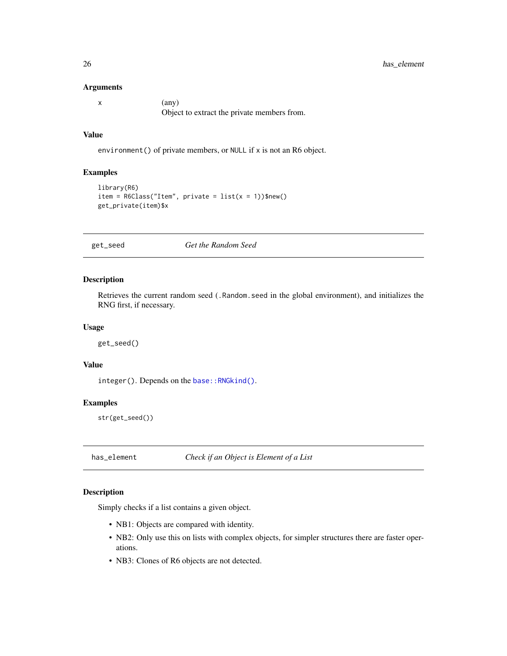#### <span id="page-25-0"></span>Arguments

| $(\text{any})$                              |
|---------------------------------------------|
| Object to extract the private members from. |

#### Value

environment() of private members, or NULL if x is not an R6 object.

#### Examples

```
library(R6)
item = R6Class("Item", private = list(x = 1))$new()get_private(item)$x
```
get\_seed *Get the Random Seed*

#### Description

Retrieves the current random seed (.Random.seed in the global environment), and initializes the RNG first, if necessary.

#### Usage

get\_seed()

#### Value

integer(). Depends on the [base::RNGkind\(\)](#page-0-0).

#### Examples

str(get\_seed())

has\_element *Check if an Object is Element of a List*

#### Description

Simply checks if a list contains a given object.

- NB1: Objects are compared with identity.
- NB2: Only use this on lists with complex objects, for simpler structures there are faster operations.
- NB3: Clones of R6 objects are not detected.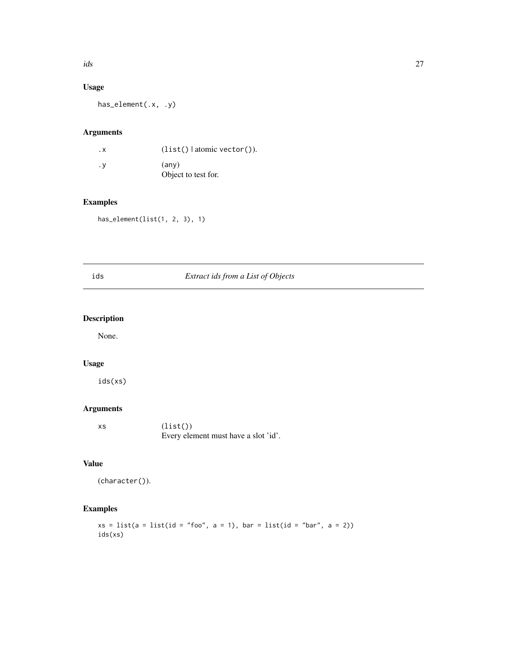#### <span id="page-26-0"></span>Usage

has\_element(.x, .y)

#### Arguments

| . х | $(list()$ atomic vector()). |
|-----|-----------------------------|
| . v | (anv)                       |
|     | Object to test for.         |

#### Examples

has\_element(list(1, 2, 3), 1)

| ids | Extract ids from a List of Objects |
|-----|------------------------------------|
|     |                                    |

#### Description

None.

#### Usage

ids(xs)

### Arguments

| XS | (list()                              |
|----|--------------------------------------|
|    | Every element must have a slot 'id'. |

### Value

```
(character()).
```
### Examples

 $xs = list(a = list(id = "foo", a = 1), bar = list(id = "bar", a = 2))$ ids(xs)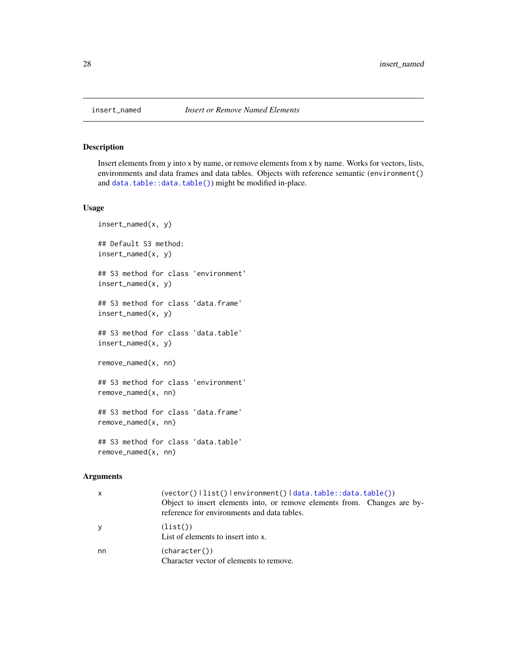Insert elements from y into x by name, or remove elements from x by name. Works for vectors, lists, environments and data frames and data tables. Objects with reference semantic (environment() and [data.table::data.table\(\)](#page-0-0)) might be modified in-place.

#### Usage

```
insert_named(x, y)
## Default S3 method:
insert_named(x, y)
## S3 method for class 'environment'
insert_named(x, y)
## S3 method for class 'data.frame'
insert_named(x, y)
## S3 method for class 'data.table'
insert_named(x, y)
remove_named(x, nn)
## S3 method for class 'environment'
remove_named(x, nn)
## S3 method for class 'data.frame'
remove_named(x, nn)
## S3 method for class 'data.table'
remove_named(x, nn)
```

| $\mathsf{x}$ | $(vector() \text{list()} \text{lenvironment()} \text{data.title::data.title())}$<br>Object to insert elements into, or remove elements from. Changes are by-<br>reference for environments and data tables. |
|--------------|-------------------------------------------------------------------------------------------------------------------------------------------------------------------------------------------------------------|
| <b>y</b>     | (list()<br>List of elements to insert into x.                                                                                                                                                               |
| nn           | (character())<br>Character vector of elements to remove.                                                                                                                                                    |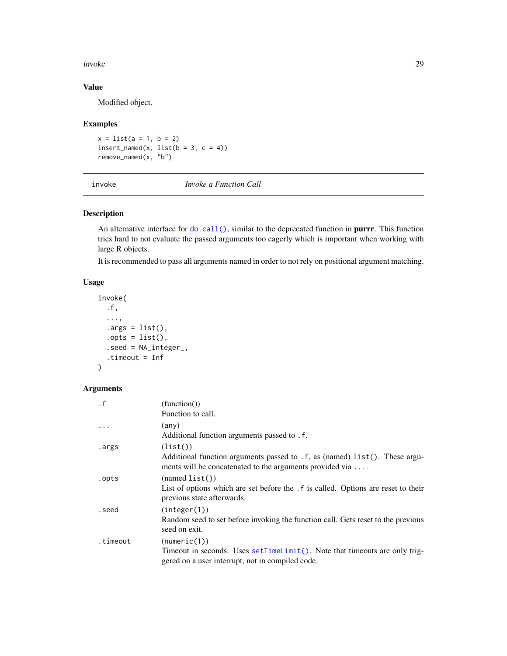#### <span id="page-28-0"></span>invoke 29

#### Value

Modified object.

#### Examples

 $x = list(a = 1, b = 2)$  $insert\_named(x, list(b = 3, c = 4))$ remove\_named(x, "b")

invoke *Invoke a Function Call*

#### Description

An alternative interface for [do.call\(\)](#page-0-0), similar to the deprecated function in **purrr**. This function tries hard to not evaluate the passed arguments too eagerly which is important when working with large R objects.

It is recommended to pass all arguments named in order to not rely on positional argument matching.

#### Usage

```
invoke(
  .f,
  ...,
  .\narray = list(),
  .opts = list(),
  .seed = NA_integer_,
  .timeout = Inf
)
```

| $\cdot$ f | (function()                                                                                                                             |
|-----------|-----------------------------------------------------------------------------------------------------------------------------------------|
|           | Function to call.                                                                                                                       |
| $\cdot$   | (any)                                                                                                                                   |
|           | Additional function arguments passed to . f.                                                                                            |
| .args     | (list()                                                                                                                                 |
|           | Additional function arguments passed to . f, as (named) list(). These argu-<br>ments will be concatenated to the arguments provided via |
| .opts     | (namedlist())                                                                                                                           |
|           | List of options which are set before the . f is called. Options are reset to their<br>previous state afterwards.                        |
| .seed     | (integer(1))                                                                                                                            |
|           | Random seed to set before invoking the function call. Gets reset to the previous<br>seed on exit.                                       |
| .timeout  | (numeric(1))                                                                                                                            |
|           | Timeout in seconds. Uses setTimeLimit(). Note that timeouts are only trig-                                                              |
|           | gered on a user interrupt, not in compiled code.                                                                                        |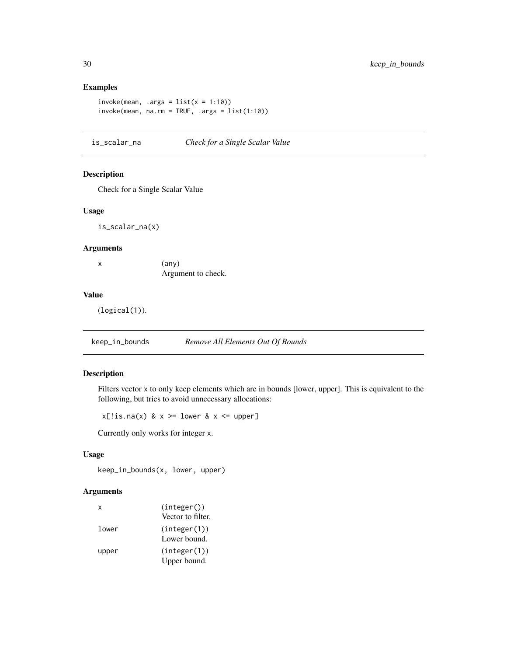#### Examples

```
invoke(mean, args = list(x = 1:10))invoke(mean, na.rm = TRUE, .args = list(1:10))
```
is\_scalar\_na *Check for a Single Scalar Value*

#### Description

Check for a Single Scalar Value

#### Usage

is\_scalar\_na(x)

#### Arguments

x (any) Argument to check.

#### Value

(logical(1)).

keep\_in\_bounds *Remove All Elements Out Of Bounds*

#### Description

Filters vector x to only keep elements which are in bounds [lower, upper]. This is equivalent to the following, but tries to avoid unnecessary allocations:

 $x[:is.na(x) & x \ge 1$  ower  $x \le 1$  upper]

Currently only works for integer x.

#### Usage

```
keep_in_bounds(x, lower, upper)
```

| x     | (integer())                  |
|-------|------------------------------|
|       | Vector to filter.            |
| lower | (integer(1))<br>Lower bound. |
| upper | (integer(1))                 |
|       | Upper bound.                 |

<span id="page-29-0"></span>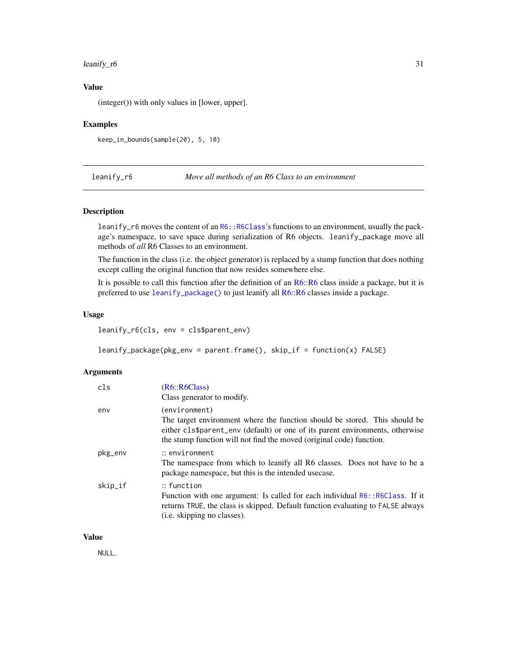#### <span id="page-30-0"></span> $\text{learning\_r6}$  31

#### Value

(integer()) with only values in [lower, upper].

#### Examples

keep\_in\_bounds(sample(20), 5, 10)

leanify\_r6 *Move all methods of an R6 Class to an environment*

#### <span id="page-30-1"></span>Description

leanify\_r6 moves the content of an [R6::R6Class](#page-0-0)'s functions to an environment, usually the package's namespace, to save space during serialization of R6 objects. leanify\_package move all methods of *all* R6 Classes to an environment.

The function in the class (i.e. the object generator) is replaced by a stump function that does nothing except calling the original function that now resides somewhere else.

It is possible to call this function after the definition of an [R6::R6](#page-0-0) class inside a package, but it is preferred to use [leanify\\_package\(\)](#page-30-1) to just leanify all [R6::R6](#page-0-0) classes inside a package.

#### Usage

leanify\_r6(cls, env = cls\$parent\_env)

leanify\_package(pkg\_env = parent.frame(), skip\_if = function(x) FALSE)

#### Arguments

| cls     | (R6::R6Class)<br>Class generator to modify.                                                                                                                                                                                                          |
|---------|------------------------------------------------------------------------------------------------------------------------------------------------------------------------------------------------------------------------------------------------------|
| env     | (environment)<br>The target environment where the function should be stored. This should be<br>either cls\$parent_env (default) or one of its parent environments, otherwise<br>the stump function will not find the moved (original code) function. |
| pkg_env | $::$ environment<br>The namespace from which to leanify all R6 classes. Does not have to be a<br>package namespace, but this is the intended use case.                                                                                               |
| skip_if | $::$ function<br>Function with one argument: Is called for each individual R6:: R6Class. If it<br>returns TRUE, the class is skipped. Default function evaluating to FALSE always<br>( <i>i.e.</i> skipping no classes).                             |

#### Value

NULL.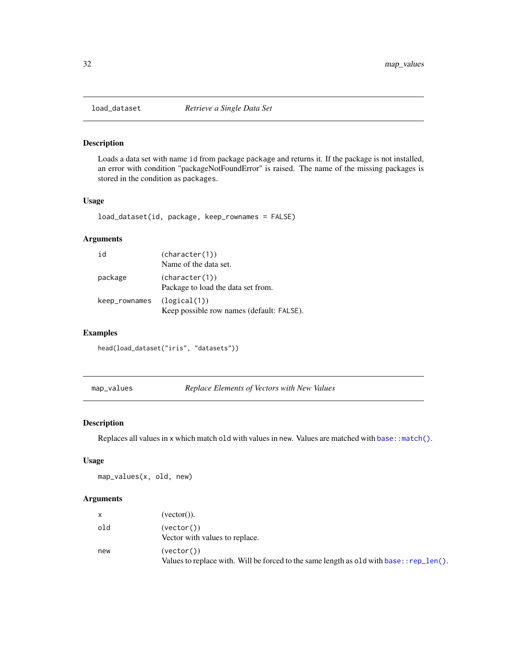<span id="page-31-0"></span>

Loads a data set with name id from package package and returns it. If the package is not installed, an error with condition "packageNotFoundError" is raised. The name of the missing packages is stored in the condition as packages.

#### Usage

load\_dataset(id, package, keep\_rownames = FALSE)

#### Arguments

| id            | (character(1))<br>Name of the data set.                   |
|---------------|-----------------------------------------------------------|
| package       | (character(1))<br>Package to load the data set from.      |
| keep_rownames | (logical(1))<br>Keep possible row names (default: FALSE). |

#### Examples

head(load\_dataset("iris", "datasets"))

map\_values *Replace Elements of Vectors with New Values*

#### Description

Replaces all values in x which match old with values in new. Values are matched with [base::match\(\)](#page-0-0).

#### Usage

map\_values(x, old, new)

| $\mathsf{x}$ | (vector)).                                                                                                |
|--------------|-----------------------------------------------------------------------------------------------------------|
| old          | (vector()<br>Vector with values to replace.                                                               |
| new          | (vector()<br>Values to replace with. Will be forced to the same length as old with base: : $rep\_len()$ . |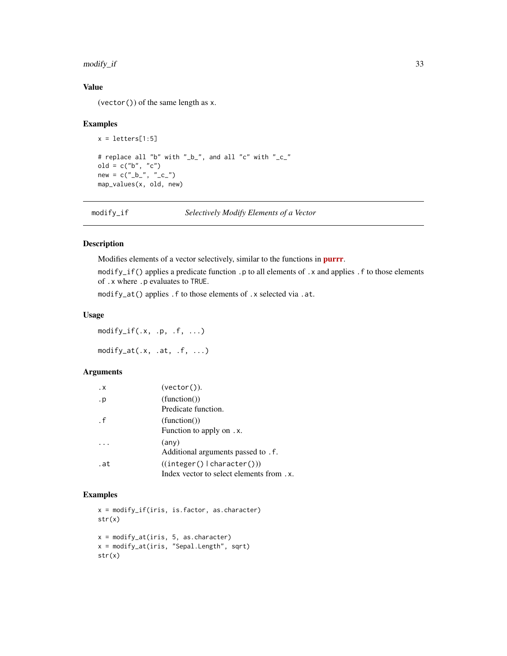#### <span id="page-32-0"></span>modify\_if 33

#### Value

(vector()) of the same length as x.

#### Examples

```
x = letters[1:5]# replace all "b" with "_b_", and all "c" with "_c_"
old = c("b", "c")new = c("_b"', "_c"')map_values(x, old, new)
```
modify\_if *Selectively Modify Elements of a Vector*

#### Description

Modifies elements of a vector selectively, similar to the functions in [purrr](https://CRAN.R-project.org/package=purrr).

modify\_if() applies a predicate function .p to all elements of .x and applies .f to those elements of .x where .p evaluates to TRUE.

modify\_at() applies .f to those elements of .x selected via .at.

#### Usage

 $\text{modify\_if}(.x, .p, .f, . . .)$ 

 $modify_at(.x, .at, .f, ...)$ 

#### Arguments

| $\cdot$ X | $(vector()$ ).                                                        |
|-----------|-----------------------------------------------------------------------|
| . p       | (function()<br>Predicate function.                                    |
| $\cdot$ f | (function()<br>Function to apply on. x.                               |
|           | (any)<br>Additional arguments passed to . f.                          |
| .at       | ((integer()  character())<br>Index vector to select elements from .x. |

```
x = modify_if(iris, is.factor, as.character)
str(x)
x = modify_at(iris, 5, as.character)
x = modify_at(iris, "Sepal.Length", sqrt)
str(x)
```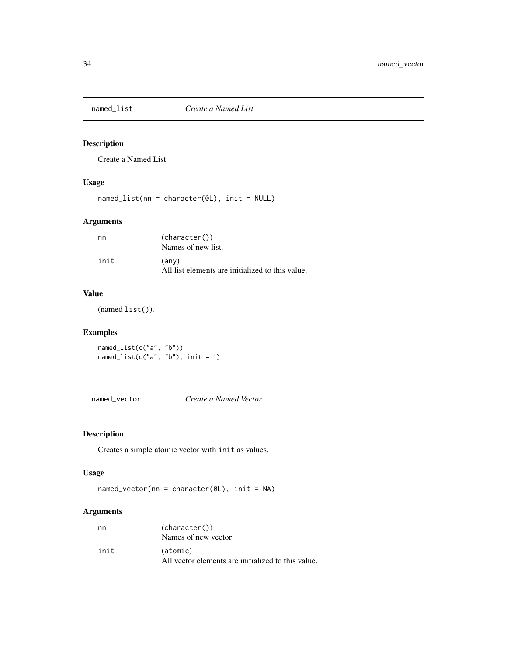<span id="page-33-0"></span>

Create a Named List

#### Usage

named\_list(nn = character(0L), init = NULL)

#### Arguments

| nn   | (character())                                    |
|------|--------------------------------------------------|
|      | Names of new list.                               |
| init | (any)                                            |
|      | All list elements are initialized to this value. |

#### Value

(named list()).

#### Examples

named\_list(c("a", "b")) named\_list(c("a", "b"), init = 1)

named\_vector *Create a Named Vector*

#### Description

Creates a simple atomic vector with init as values.

#### Usage

named\_vector(nn = character(0L), init = NA)

| nn   | (character())<br>Names of new vector                           |
|------|----------------------------------------------------------------|
| init | (atomic)<br>All vector elements are initialized to this value. |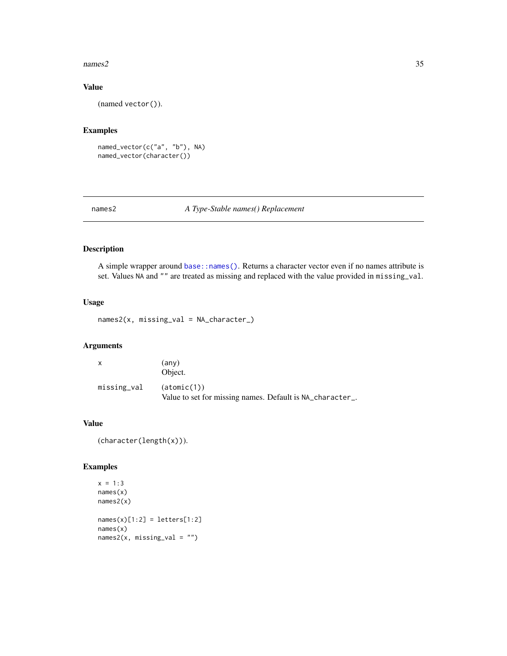#### <span id="page-34-0"></span> $names2$  35

#### Value

(named vector()).

#### Examples

```
named_vector(c("a", "b"), NA)
named_vector(character())
```
#### names2 *A Type-Stable names() Replacement*

#### Description

A simple wrapper around [base::names\(\)](#page-0-0). Returns a character vector even if no names attribute is set. Values NA and "" are treated as missing and replaced with the value provided in missing\_val.

#### Usage

names2(x, missing\_val = NA\_character\_)

#### Arguments

| X           | (any)<br>Object.                                                         |
|-------------|--------------------------------------------------------------------------|
| missing_val | (atomic(1))<br>Value to set for missing names. Default is NA_character_. |

#### Value

(character(length(x))).

```
x = 1:3names(x)
names2(x)
names(x)[1:2] = letters[1:2]names(x)
names2(x, missing_val = "")
```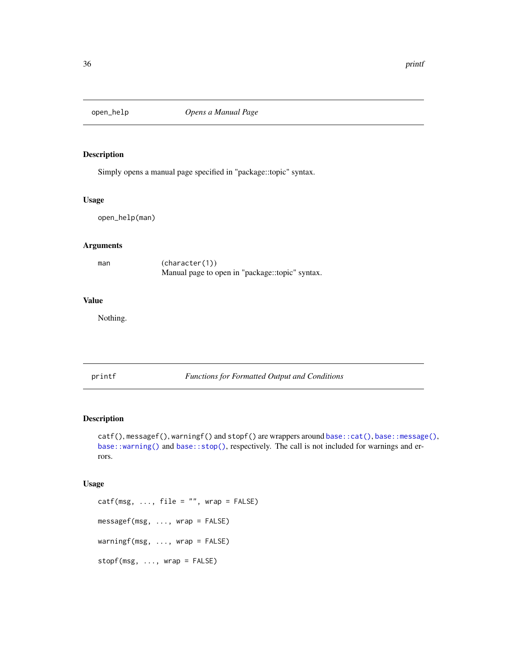<span id="page-35-0"></span>

Simply opens a manual page specified in "package::topic" syntax.

#### Usage

open\_help(man)

#### Arguments

| man | (character(1))                                  |
|-----|-------------------------------------------------|
|     | Manual page to open in "package::topic" syntax. |

#### Value

Nothing.

printf *Functions for Formatted Output and Conditions*

#### Description

catf(), messagef(), warningf() and stopf() are wrappers around [base::cat\(\)](#page-0-0), [base::message\(\)](#page-0-0), [base::warning\(\)](#page-0-0) and [base::stop\(\)](#page-0-0), respectively. The call is not included for warnings and errors.

#### Usage

 $caff(msg, ..., file = "", wrap = FALSE)$ messagef(msg, ..., wrap = FALSE) warningf(msg, ..., wrap = FALSE) stopf(msg, ..., wrap = FALSE)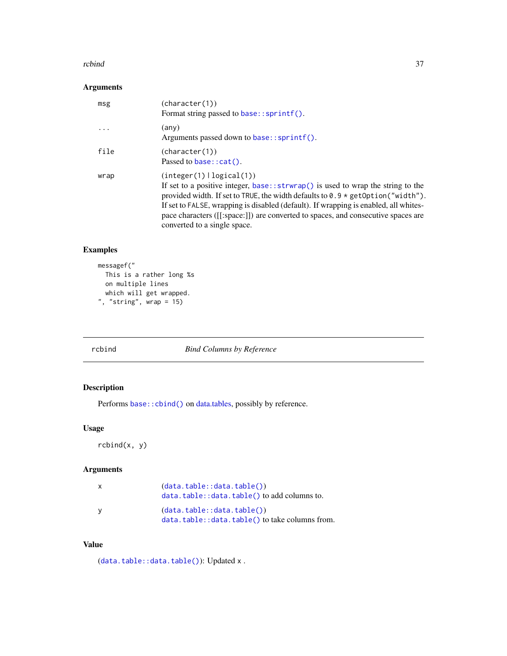#### <span id="page-36-0"></span>rcbind 37

#### Arguments

| msg       | (character(1))<br>Format string passed to base::sprintf().                                                                                                                                                                                                                                                                                                                                                             |
|-----------|------------------------------------------------------------------------------------------------------------------------------------------------------------------------------------------------------------------------------------------------------------------------------------------------------------------------------------------------------------------------------------------------------------------------|
| $\ddotsc$ | (any)<br>Arguments passed down to base:: $spring()$ .                                                                                                                                                                                                                                                                                                                                                                  |
| file      | (character(1))<br>Passed to base: $cat()$ .                                                                                                                                                                                                                                                                                                                                                                            |
| wrap      | (integer(1)   logical(1))<br>If set to a positive integer, base:: $strwrap()$ is used to wrap the string to the<br>provided width. If set to TRUE, the width defaults to $0.9 \times$ getOption("width").<br>If set to FALSE, wrapping is disabled (default). If wrapping is enabled, all whites-<br>pace characters ([[:space:]]) are converted to spaces, and consecutive spaces are<br>converted to a single space. |

#### Examples

```
messagef("
  This is a rather long %s
  on multiple lines
  which will get wrapped.
", "string", wrap = 15)
```
rcbind *Bind Columns by Reference*

#### Description

Performs [base::cbind\(\)](#page-0-0) on [data.tables,](#page-0-0) possibly by reference.

#### Usage

rcbind(x, y)

#### Arguments

| $\mathsf{x}$ | (data.table::data.table())<br>$data.table::data.table()$ to add columns to.  |
|--------------|------------------------------------------------------------------------------|
| <b>V</b>     | (data.table::data.table())<br>data.table::data.table() to take columns from. |

#### Value

([data.table::data.table\(\)](#page-0-0)): Updated x.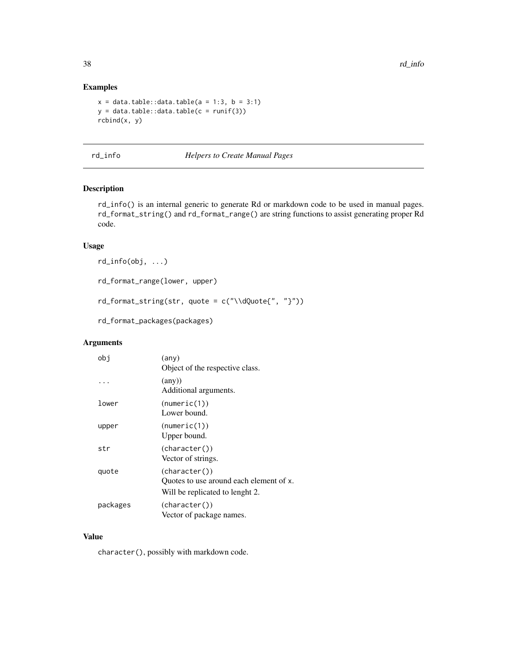#### Examples

```
x = data.title::data.title(a = 1:3, b = 3:1)y = data.title::data_table(c = runif(3))rcbind(x, y)
```
rd\_info *Helpers to Create Manual Pages*

#### Description

rd\_info() is an internal generic to generate Rd or markdown code to be used in manual pages. rd\_format\_string() and rd\_format\_range() are string functions to assist generating proper Rd code.

#### Usage

```
rd_info(obj, ...)
```
rd\_format\_range(lower, upper)

 $rd\_format\_string(str, quote = c("\\dQuote{", "}");$ 

rd\_format\_packages(packages)

#### Arguments

| obj      | $(\text{any})$<br>Object of the respective class.                                           |
|----------|---------------------------------------------------------------------------------------------|
|          | $(\text{any})$<br>Additional arguments.                                                     |
| lower    | (numeric(1))<br>Lower bound.                                                                |
| upper    | (numeric(1))<br>Upper bound.                                                                |
| str      | (character())<br>Vector of strings.                                                         |
| quote    | (character())<br>Ouotes to use around each element of x.<br>Will be replicated to lenght 2. |
| packages | (character())<br>Vector of package names.                                                   |

#### Value

character(), possibly with markdown code.

<span id="page-37-0"></span>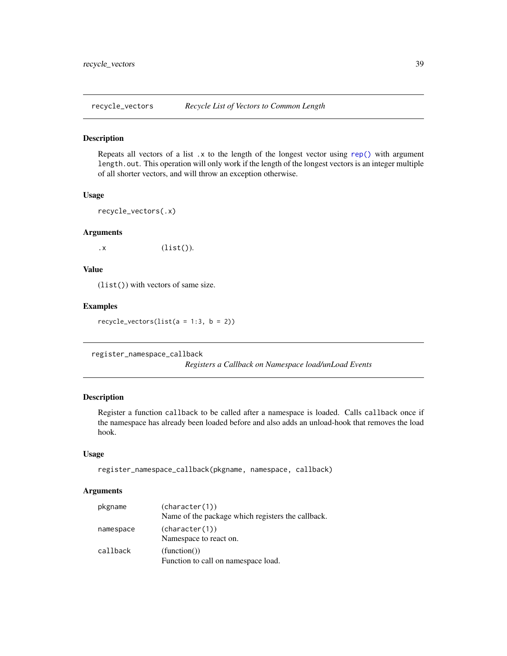<span id="page-38-0"></span>

Repeats all vectors of a list  $\cdot$  x to the length of the longest vector using [rep\(\)](#page-0-0) with argument length.out. This operation will only work if the length of the longest vectors is an integer multiple of all shorter vectors, and will throw an exception otherwise.

#### Usage

```
recycle_vectors(.x)
```
#### Arguments

 $\mathsf{x}$  (list()).

#### Value

(list()) with vectors of same size.

#### Examples

recycle\_vectors(list( $a = 1:3$ ,  $b = 2$ ))

register\_namespace\_callback

*Registers a Callback on Namespace load/unLoad Events*

#### Description

Register a function callback to be called after a namespace is loaded. Calls callback once if the namespace has already been loaded before and also adds an unload-hook that removes the load hook.

#### Usage

```
register_namespace_callback(pkgname, namespace, callback)
```

| pkgname   | (character(1))                                     |
|-----------|----------------------------------------------------|
|           | Name of the package which registers the callback.  |
| namespace | (character(1))<br>Namespace to react on.           |
| callback  | (function()<br>Function to call on namespace load. |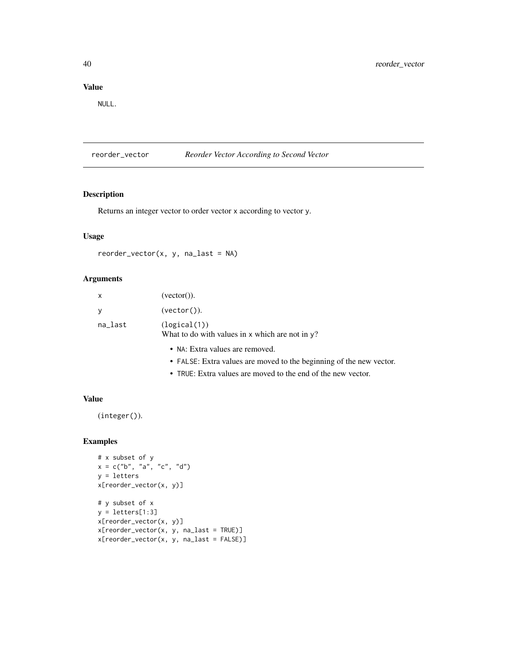#### <span id="page-39-0"></span>Value

NULL.

reorder\_vector *Reorder Vector According to Second Vector*

#### Description

Returns an integer vector to order vector x according to vector y.

#### Usage

 $reorder\_vector(x, y, na\_last = NA)$ 

#### Arguments

| x       | $(\text{vector}()).$                                                |
|---------|---------------------------------------------------------------------|
|         | (vector()).                                                         |
| na_last | (logical(1))<br>What to do with values in x which are not in $y$ ?  |
|         | • NA: Extra values are removed.                                     |
|         | • FALSE: Extra values are moved to the beginning of the new vector. |

• TRUE: Extra values are moved to the end of the new vector.

#### Value

(integer()).

```
# x subset of y
x = c("b", "a", "c", "d")y = letters
x[reorder_vector(x, y)]
# y subset of x
y = letters[1:3]x[reorder_vector(x, y)]
x[reorder_vector(x, y, na_last = TRUE)]
x[reorder\_vector(x, y, na\_last = FALSE)]
```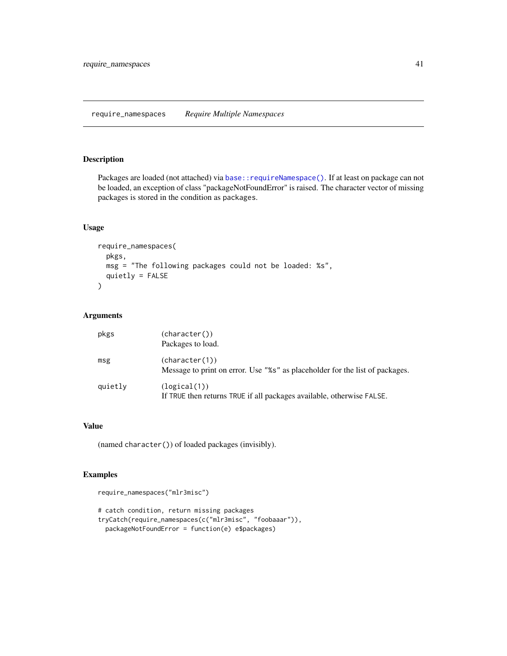<span id="page-40-0"></span>require\_namespaces *Require Multiple Namespaces*

#### Description

Packages are loaded (not attached) via base:: requireNamespace(). If at least on package can not be loaded, an exception of class "packageNotFoundError" is raised. The character vector of missing packages is stored in the condition as packages.

#### Usage

```
require_namespaces(
 pkgs,
 msg = "The following packages could not be loaded: %s",
 quietly = FALSE
)
```
#### Arguments

| pkgs    | (character())<br>Packages to load.                                                             |
|---------|------------------------------------------------------------------------------------------------|
| msg     | (character(1))<br>Message to print on error. Use "%s" as placeholder for the list of packages. |
| quietly | (logical(1))<br>If TRUE then returns TRUE if all packages available, otherwise FALSE.          |

#### Value

(named character()) of loaded packages (invisibly).

```
require_namespaces("mlr3misc")
# catch condition, return missing packages
tryCatch(require_namespaces(c("mlr3misc", "foobaaar")),
 packageNotFoundError = function(e) e$packages)
```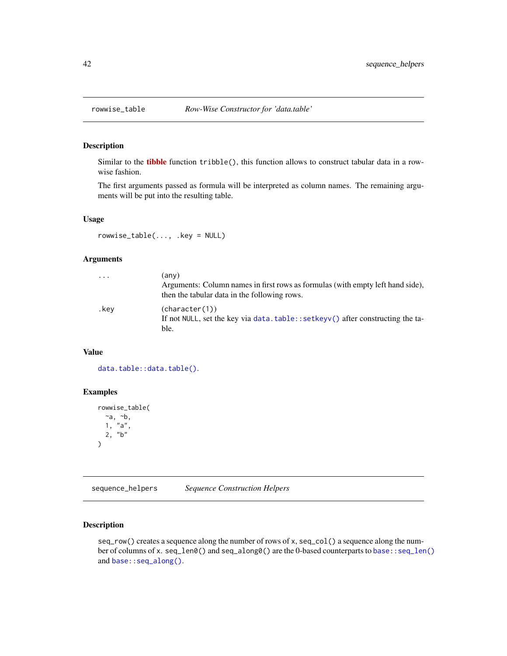<span id="page-41-0"></span>

Similar to the **[tibble](https://CRAN.R-project.org/package=tibble)** function  $\text{trible}($ , this function allows to construct tabular data in a rowwise fashion.

The first arguments passed as formula will be interpreted as column names. The remaining arguments will be put into the resulting table.

#### Usage

rowwise\_table(..., .key = NULL)

#### Arguments

| $\cdot$ $\cdot$ $\cdot$ | (any)<br>Arguments: Column names in first rows as formulas (with empty left hand side),<br>then the tabular data in the following rows. |
|-------------------------|-----------------------------------------------------------------------------------------------------------------------------------------|
| .kev                    | (character(1))<br>If not NULL, set the key via data.table::setkeyv() after constructing the ta-<br>ble.                                 |

#### Value

[data.table::data.table\(\)](#page-0-0).

#### Examples

```
rowwise_table(
 -a, -b,1, "a",
 2, "b"
)
```
sequence\_helpers *Sequence Construction Helpers*

#### Description

seq\_row() creates a sequence along the number of rows of x, seq\_col() a sequence along the number of columns of x. seq\_len0() and seq\_along0() are the 0-based counterparts to [base::seq\\_len\(\)](#page-0-0) and [base::seq\\_along\(\)](#page-0-0).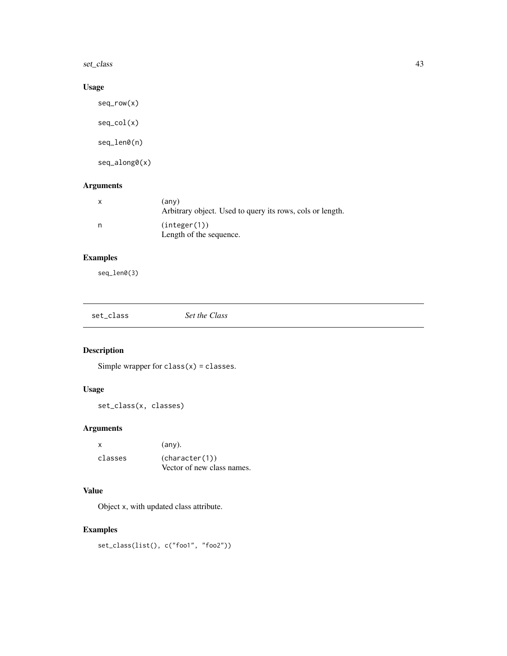<span id="page-42-0"></span>set\_class 43

#### Usage

seq\_row(x) seq\_col(x) seq\_len0(n) seq\_along0(x)

#### Arguments

| (any)<br>Arbitrary object. Used to query its rows, cols or length. |
|--------------------------------------------------------------------|
| (integer(1))<br>Length of the sequence.                            |

### Examples

seq\_len0(3)

| set_class | Set the Class |  |  |
|-----------|---------------|--|--|
|-----------|---------------|--|--|

#### Description

Simple wrapper for  $class(x) = classes$ .

#### Usage

set\_class(x, classes)

#### Arguments

| x       | $(\text{any})$ .           |
|---------|----------------------------|
| classes | (character(1))             |
|         | Vector of new class names. |

#### Value

Object x, with updated class attribute.

```
set_class(list(), c("foo1", "foo2"))
```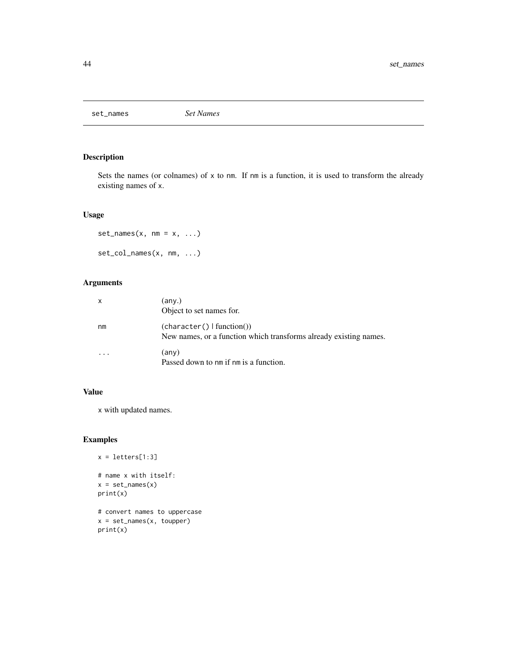<span id="page-43-0"></span>set\_names *Set Names*

#### Description

Sets the names (or colnames) of x to nm. If nm is a function, it is used to transform the already existing names of x.

#### Usage

```
set\_names(x, nm = x, ...)set_col_names(x, nm, ...)
```
#### Arguments

| X  | (any.)<br>Object to set names for.                                                              |
|----|-------------------------------------------------------------------------------------------------|
| nm | (character()   function())<br>New names, or a function which transforms already existing names. |
|    | (any)<br>Passed down to nm if nm is a function.                                                 |

#### Value

x with updated names.

```
x = letters[1:3]# name x with itself:
x = set\_names(x)print(x)
# convert names to uppercase
x = set_names(x, toupper)
print(x)
```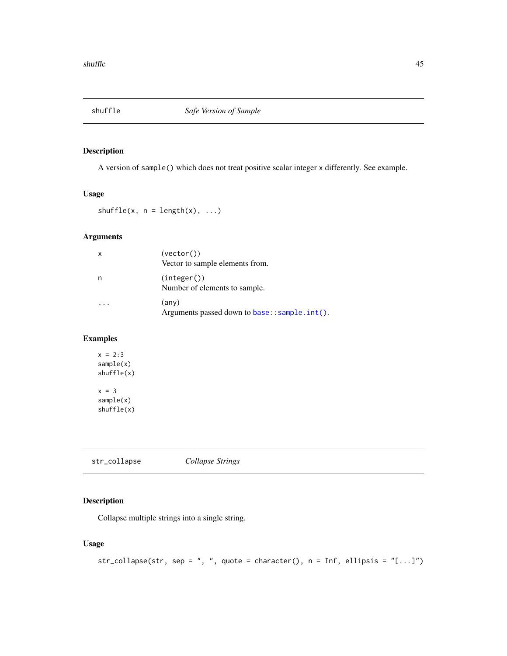<span id="page-44-0"></span>

A version of sample() which does not treat positive scalar integer x differently. See example.

#### Usage

shuffle(x,  $n = length(x), ...$ )

#### Arguments

| $\boldsymbol{\mathsf{x}}$ | (vector()<br>Vector to sample elements from.                    |
|---------------------------|-----------------------------------------------------------------|
| n                         | (integer())<br>Number of elements to sample.                    |
|                           | $(\text{any})$<br>Arguments passed down to base:: sample.int(). |

#### Examples

 $x = 2:3$ sample(x) shuffle(x)  $x = 3$ sample(x) shuffle(x)

<span id="page-44-1"></span>str\_collapse *Collapse Strings*

#### Description

Collapse multiple strings into a single string.

#### Usage

```
str_collapse(str, sep = ", ", quote = character(), n = Inf, ellipsis = "[...]")
```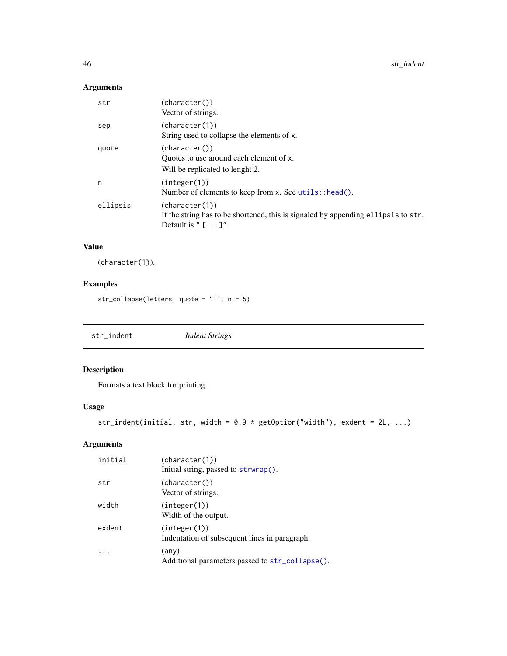#### <span id="page-45-0"></span>Arguments

| str      | (character())<br>Vector of strings.                                                                                               |
|----------|-----------------------------------------------------------------------------------------------------------------------------------|
| sep      | (character(1))<br>String used to collapse the elements of x.                                                                      |
| quote    | (character())<br>Ouotes to use around each element of x.<br>Will be replicated to lenght 2.                                       |
| n        | (integer(1))<br>Number of elements to keep from x. See utils::head().                                                             |
| ellipsis | (character(1))<br>If the string has to be shortened, this is signaled by appending ellipsis to str.<br>Default is " $[\ldots]$ ". |

#### Value

(character(1)).

#### Examples

str\_collapse(letters, quote = "'", n = 5)

str\_indent *Indent Strings*

### Description

Formats a text block for printing.

#### Usage

```
str_indent(initial, str, width = 0.9 * getOption("width"), exdent = 2L, ...)
```

| initial | (character(1))<br>Initial string, passed to strwrap().            |
|---------|-------------------------------------------------------------------|
| str     | (character())<br>Vector of strings.                               |
| width   | (integer(1))<br>Width of the output.                              |
| exdent  | (integer(1))<br>Indentation of subsequent lines in paragraph.     |
|         | $(\text{any})$<br>Additional parameters passed to str_collapse(). |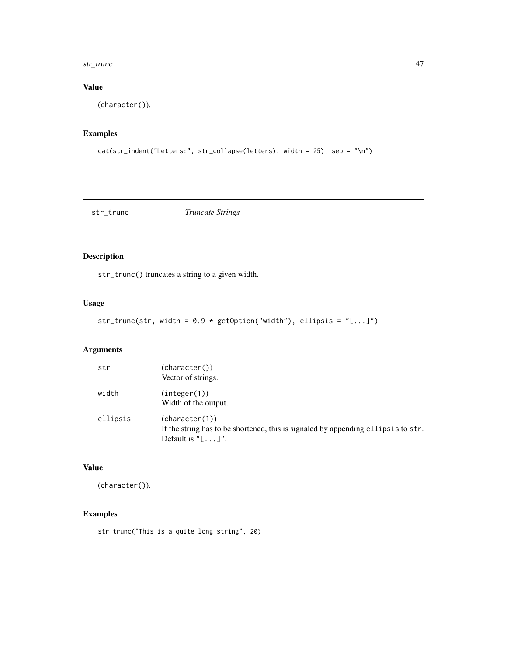#### <span id="page-46-0"></span>str\_trunc 47

#### Value

(character()).

#### Examples

```
cat(str_indent("Letters:", str_collapse(letters), width = 25), sep = "\n")
```

| str_trunc | <i>Truncate Strings</i> |  |
|-----------|-------------------------|--|
|-----------|-------------------------|--|

#### Description

str\_trunc() truncates a string to a given width.

#### Usage

```
str_trunc(str, width = 0.9 * getOption("width"), ellipsis = "[...]")
```
#### Arguments

| str      | (character())                                                                     |
|----------|-----------------------------------------------------------------------------------|
|          | Vector of strings.                                                                |
| width    | (integer(1))                                                                      |
|          | Width of the output.                                                              |
| ellipsis | (character(1))                                                                    |
|          | If the string has to be shortened, this is signaled by appending ellipsis to str. |
|          | Default is $"[\ldots]$ .                                                          |

#### Value

(character()).

#### Examples

str\_trunc("This is a quite long string", 20)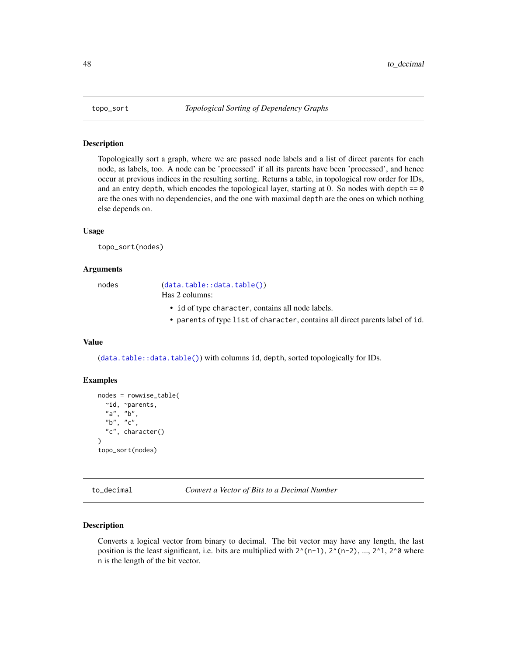<span id="page-47-0"></span>

Topologically sort a graph, where we are passed node labels and a list of direct parents for each node, as labels, too. A node can be 'processed' if all its parents have been 'processed', and hence occur at previous indices in the resulting sorting. Returns a table, in topological row order for IDs, and an entry depth, which encodes the topological layer, starting at 0. So nodes with depth  $== 0$ are the ones with no dependencies, and the one with maximal depth are the ones on which nothing else depends on.

#### Usage

topo\_sort(nodes)

#### Arguments

nodes ([data.table::data.table\(\)](#page-0-0)) Has 2 columns:

- id of type character, contains all node labels.
- parents of type list of character, contains all direct parents label of id.

#### Value

([data.table::data.table\(\)](#page-0-0)) with columns id, depth, sorted topologically for IDs.

#### Examples

```
nodes = rowwise_table(
 ~id, ~parents,
 "a", "b",
 "b", "c",
  "c", character()
)
topo_sort(nodes)
```
to\_decimal *Convert a Vector of Bits to a Decimal Number*

#### **Description**

Converts a logical vector from binary to decimal. The bit vector may have any length, the last position is the least significant, i.e. bits are multiplied with  $2^{(n-1)}$ ,  $2^{(n-2)}$ , ...,  $2^{(n-2)}$  where n is the length of the bit vector.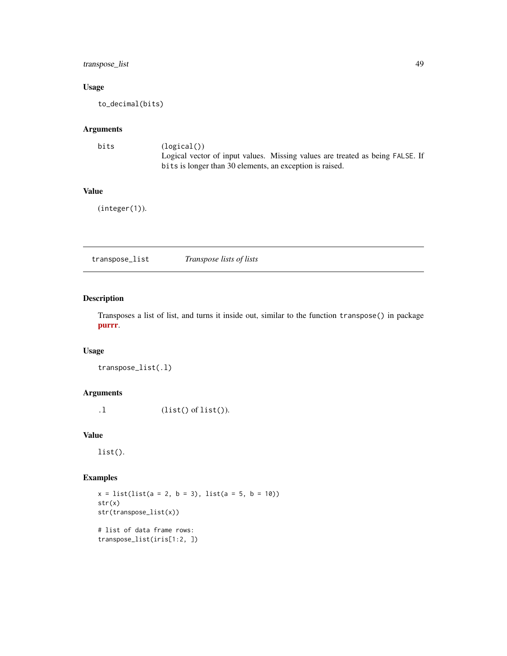#### <span id="page-48-0"></span>transpose\_list 49

#### Usage

to\_decimal(bits)

#### Arguments

| bits | (logical()                                                                    |
|------|-------------------------------------------------------------------------------|
|      | Logical vector of input values. Missing values are treated as being FALSE. If |
|      | bits is longer than 30 elements, an exception is raised.                      |

#### Value

(integer(1)).

transpose\_list *Transpose lists of lists*

#### Description

Transposes a list of list, and turns it inside out, similar to the function transpose() in package [purrr](https://CRAN.R-project.org/package=purrr).

### Usage

```
transpose_list(.l)
```
#### Arguments

.l (list() of list()).

#### Value

list().

```
x = list(list(a = 2, b = 3), list(a = 5, b = 10))str(x)
str(transpose_list(x))
# list of data frame rows:
transpose_list(iris[1:2, ])
```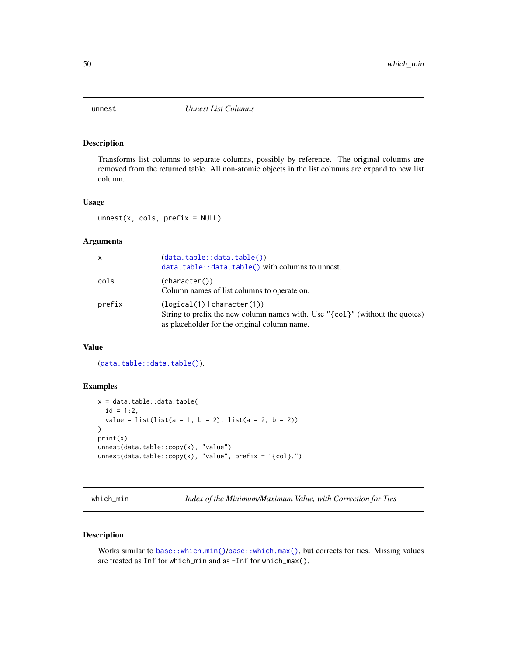<span id="page-49-0"></span>

Transforms list columns to separate columns, possibly by reference. The original columns are removed from the returned table. All non-atomic objects in the list columns are expand to new list column.

#### Usage

 $unnest(x, cols, prefix = NULL)$ 

#### Arguments

| X      | (data.table::data.table())<br>$data.title::data.title() with columns to unnest.$                                                                              |
|--------|---------------------------------------------------------------------------------------------------------------------------------------------------------------|
| cols   | (character())<br>Column names of list columns to operate on.                                                                                                  |
| prefix | $(logical(1)$   character(1))<br>String to prefix the new column names with. Use "{col}" (without the quotes)<br>as placeholder for the original column name. |

#### Value

([data.table::data.table\(\)](#page-0-0)).

#### Examples

```
x = data.table::data.table(
  id = 1:2,value = list(list(a = 1, b = 2), list(a = 2, b = 2))\mathcal{L}print(x)
unnest(data.table::copy(x), "value")
unnest(data.table::copy(x), "value", prefix = "{col}.")
```
which\_min *Index of the Minimum/Maximum Value, with Correction for Ties*

#### Description

Works similar to [base::which.min\(\)](#page-0-0)/[base::which.max\(\)](#page-0-0), but corrects for ties. Missing values are treated as Inf for which\_min and as -Inf for which\_max().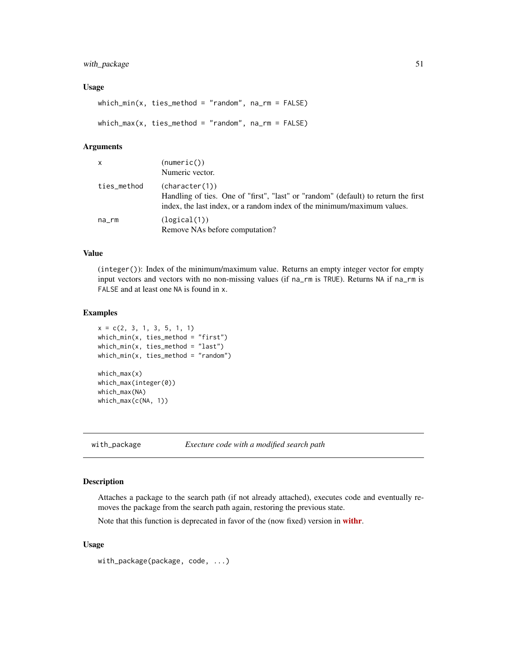#### <span id="page-50-0"></span>with\_package 51

#### Usage

which\_min(x, ties\_method = "random",  $na$ \_rm = FALSE)  $which_max(x, ties_method = "random", na_rm = FALSE)$ 

#### Arguments

| x           | (numeric())<br>Numeric vector.                                                                                                                                                  |
|-------------|---------------------------------------------------------------------------------------------------------------------------------------------------------------------------------|
| ties_method | (character(1))<br>Handling of ties. One of "first", "last" or "random" (default) to return the first<br>index, the last index, or a random index of the minimum/maximum values. |
| na_rm       | (logical(1))<br>Remove NAs before computation?                                                                                                                                  |

#### Value

(integer()): Index of the minimum/maximum value. Returns an empty integer vector for empty input vectors and vectors with no non-missing values (if na\_rm is TRUE). Returns NA if na\_rm is FALSE and at least one NA is found in x.

#### Examples

```
x = c(2, 3, 1, 3, 5, 1, 1)which_min(x, ties_method = "first")
which_min(x, ties_method = "last")
which_min(x, ties_method = "random")
which_max(x)
which_max(integer(0))
which_max(NA)
which_max(c(NA, 1))
```
with\_package *Execture code with a modified search path*

#### Description

Attaches a package to the search path (if not already attached), executes code and eventually removes the package from the search path again, restoring the previous state.

Note that this function is deprecated in favor of the (now fixed) version in [withr](https://CRAN.R-project.org/package=withr).

#### Usage

with\_package(package, code, ...)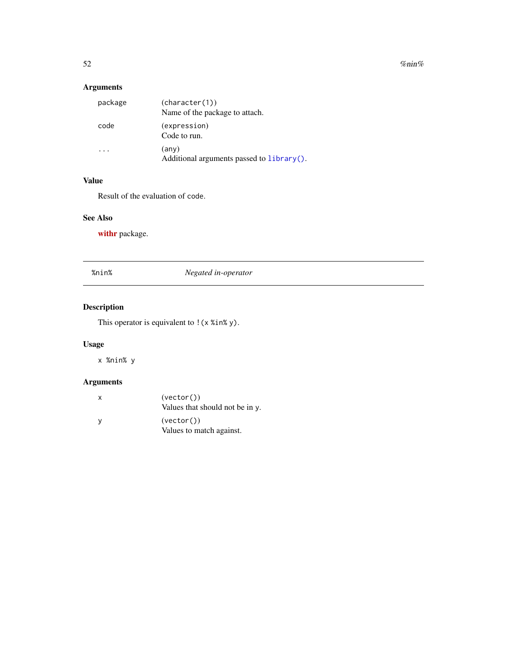<span id="page-51-0"></span>52 % $\mu$  % nin%  $\mu$  % nin%  $\mu$  % nin%  $\mu$  % nin%  $\mu$  % nin%  $\mu$  % nin%  $\mu$  % nin% is the set of  $\mu$  % nin% is the set of  $\mu$  % is the set of  $\mu$  % is the set of  $\mu$  % is the set of  $\mu$  % is the set of  $\mu$  % is

### Arguments

| package | (character(1))<br>Name of the package to attach.            |
|---------|-------------------------------------------------------------|
| code    | (expression)<br>Code to run.                                |
|         | $(\text{any})$<br>Additional arguments passed to library(). |

### Value

Result of the evaluation of code.

#### See Also

[withr](https://CRAN.R-project.org/package=withr) package.

#### %nin% *Negated in-operator*

### Description

This operator is equivalent to ! (x %in% y).

#### Usage

x %nin% y

| x   | (vector()<br>Values that should not be in y. |
|-----|----------------------------------------------|
| . y | (vector()<br>Values to match against.        |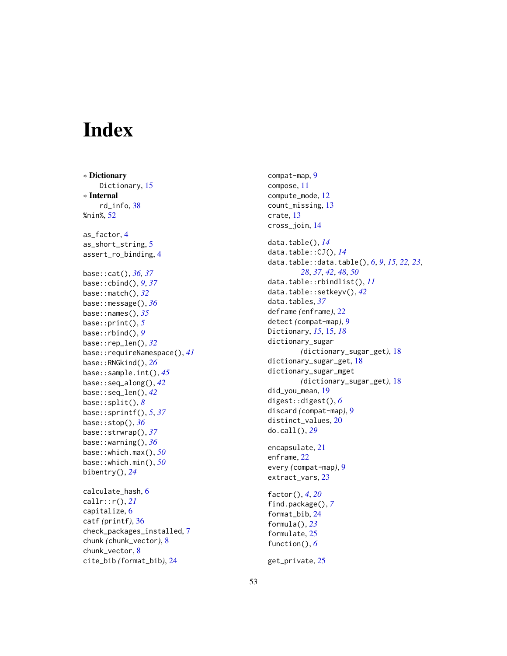# <span id="page-52-0"></span>**Index**

∗ Dictionary Dictionary, [15](#page-14-0) ∗ Internal rd\_info, [38](#page-37-0) %nin%, [52](#page-51-0) as\_factor, [4](#page-3-0) as\_short\_string, [5](#page-4-0) assert\_ro\_binding, [4](#page-3-0) base::cat(), *[36,](#page-35-0) [37](#page-36-0)* base::cbind(), *[9](#page-8-0)*, *[37](#page-36-0)* base::match(), *[32](#page-31-0)* base::message(), *[36](#page-35-0)* base::names(), *[35](#page-34-0)* base::print(), *[5](#page-4-0)* base::rbind(), *[9](#page-8-0)* base::rep\_len(), *[32](#page-31-0)* base::requireNamespace(), *[41](#page-40-0)* base::RNGkind(), *[26](#page-25-0)* base::sample.int(), *[45](#page-44-0)* base::seq\_along(), *[42](#page-41-0)* base::seq\_len(), *[42](#page-41-0)* base::split(), *[8](#page-7-0)* base::sprintf(), *[5](#page-4-0)*, *[37](#page-36-0)* base::stop(), *[36](#page-35-0)* base::strwrap(), *[37](#page-36-0)* base::warning(), *[36](#page-35-0)* base::which.max(), *[50](#page-49-0)* base::which.min(), *[50](#page-49-0)* bibentry(), *[24](#page-23-0)* calculate\_hash, [6](#page-5-0) callr::r(), *[21](#page-20-0)* capitalize, [6](#page-5-0) catf *(*printf*)*, [36](#page-35-0) check\_packages\_installed, [7](#page-6-0) chunk *(*chunk\_vector*)*, [8](#page-7-0) chunk\_vector, [8](#page-7-0) cite\_bib *(*format\_bib*)*, [24](#page-23-0)

compat-map, [9](#page-8-0) compose, [11](#page-10-0) compute\_mode, [12](#page-11-0) count\_missing, [13](#page-12-0) crate, [13](#page-12-0) cross\_join, [14](#page-13-0) data.table(), *[14](#page-13-0)* data.table::CJ(), *[14](#page-13-0)* data.table::data.table(), *[6](#page-5-0)*, *[9](#page-8-0)*, *[15](#page-14-0)*, *[22,](#page-21-0) [23](#page-22-0)*, *[28](#page-27-0)*, *[37](#page-36-0)*, *[42](#page-41-0)*, *[48](#page-47-0)*, *[50](#page-49-0)* data.table::rbindlist(), *[11](#page-10-0)* data.table::setkeyv(), *[42](#page-41-0)* data.tables, *[37](#page-36-0)* deframe *(*enframe*)*, [22](#page-21-0) detect *(*compat-map*)*, [9](#page-8-0) Dictionary, *[15](#page-14-0)*, [15,](#page-14-0) *[18](#page-17-0)* dictionary\_sugar *(*dictionary\_sugar\_get*)*, [18](#page-17-0) dictionary\_sugar\_get, [18](#page-17-0) dictionary\_sugar\_mget *(*dictionary\_sugar\_get*)*, [18](#page-17-0) did\_you\_mean, [19](#page-18-0) digest::digest(), *[6](#page-5-0)* discard *(*compat-map*)*, [9](#page-8-0) distinct\_values, [20](#page-19-0) do.call(), *[29](#page-28-0)* encapsulate, [21](#page-20-0) enframe, [22](#page-21-0) every *(*compat-map*)*, [9](#page-8-0) extract\_vars, [23](#page-22-0) factor(), *[4](#page-3-0)*, *[20](#page-19-0)* find.package(), *[7](#page-6-0)* format\_bib, [24](#page-23-0) formula(), *[23](#page-22-0)* formulate, [25](#page-24-0) function(), *[6](#page-5-0)*

get\_private, [25](#page-24-0)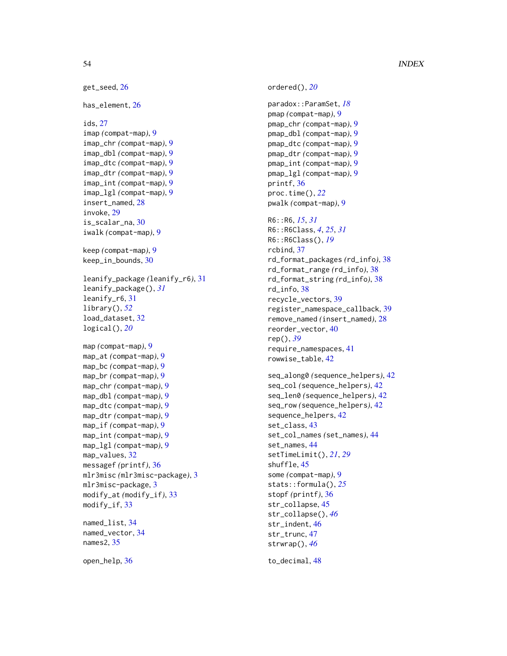```
get_seed, 26
has_element, 26
ids, 27
imap (compat-map), 9
imap_chr (compat-map), 9
imap_dbl (compat-map), 9
imap_dtc (compat-map), 9
imap_dtr (compat-map), 9
imap_int (compat-map), 9
imap_lgl (compat-map), 9
insert_named, 28
invoke, 29
is_scalar_na, 30
iwalk (compat-map), 9
keep (compat-map), 9
keep_in_bounds, 30
leanify_package (leanify_r6), 31
leanify_package(), 31
leanify_r6, 31
library(), 52
load_dataset, 32
logical(), 20
map (compat-map), 9
map_at (compat-map), 9
map_bc (compat-map), 9
map_br (compat-map), 9
map_chr (compat-map), 9
map_dbl (compat-map), 9
map_dtc (compat-map), 9
map_dtr (compat-map), 9
map_if (compat-map), 9
map_int (compat-map), 9
map_lgl (compat-map), 9
map_values, 32
messagef (printf), 36
mlr3misc (mlr3misc-package), 3
mlr3misc-package, 3
modify_at (modify_if), 33
modify_if, 33
named_list, 34
named_vector, 34
names2, 35
```
open\_help, [36](#page-35-0)

ordered(), *[20](#page-19-0)* paradox::ParamSet, *[18](#page-17-0)* pmap *(*compat-map*)*, [9](#page-8-0) pmap\_chr *(*compat-map*)*, [9](#page-8-0) pmap\_dbl *(*compat-map*)*, [9](#page-8-0) pmap\_dtc *(*compat-map*)*, [9](#page-8-0) pmap\_dtr *(*compat-map*)*, [9](#page-8-0) pmap\_int *(*compat-map*)*, [9](#page-8-0) pmap\_lgl *(*compat-map*)*, [9](#page-8-0) printf, [36](#page-35-0) proc.time(), *[22](#page-21-0)* pwalk *(*compat-map*)*, [9](#page-8-0) R6::R6, *[15](#page-14-0)*, *[31](#page-30-0)* R6::R6Class, *[4](#page-3-0)*, *[25](#page-24-0)*, *[31](#page-30-0)* R6::R6Class(), *[19](#page-18-0)* rcbind, [37](#page-36-0) rd\_format\_packages *(*rd\_info*)*, [38](#page-37-0) rd\_format\_range *(*rd\_info*)*, [38](#page-37-0) rd\_format\_string *(*rd\_info*)*, [38](#page-37-0) rd\_info, [38](#page-37-0) recycle\_vectors, [39](#page-38-0) register\_namespace\_callback, [39](#page-38-0) remove\_named *(*insert\_named*)*, [28](#page-27-0) reorder\_vector, [40](#page-39-0) rep(), *[39](#page-38-0)* require\_namespaces, [41](#page-40-0) rowwise\_table, [42](#page-41-0) seq\_along0 *(*sequence\_helpers*)*, [42](#page-41-0) seq\_col *(*sequence\_helpers*)*, [42](#page-41-0) seq\_len0 *(*sequence\_helpers*)*, [42](#page-41-0) seq\_row *(*sequence\_helpers*)*, [42](#page-41-0) sequence\_helpers, [42](#page-41-0) set\_class, [43](#page-42-0) set\_col\_names *(*set\_names*)*, [44](#page-43-0) set\_names, [44](#page-43-0) setTimeLimit(), *[21](#page-20-0)*, *[29](#page-28-0)* shuffle, [45](#page-44-0) some *(*compat-map*)*, [9](#page-8-0) stats::formula(), *[25](#page-24-0)* stopf *(*printf*)*, [36](#page-35-0) str\_collapse, [45](#page-44-0) str\_collapse(), *[46](#page-45-0)* str\_indent, [46](#page-45-0) str\_trunc, [47](#page-46-0) strwrap(), *[46](#page-45-0)*

to\_decimal, [48](#page-47-0)